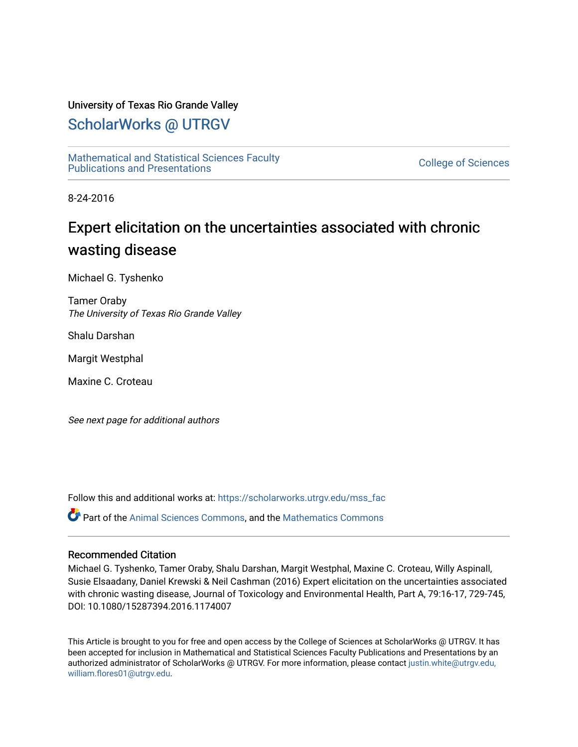# University of Texas Rio Grande Valley

# [ScholarWorks @ UTRGV](https://scholarworks.utrgv.edu/)

[Mathematical and Statistical Sciences Faculty](https://scholarworks.utrgv.edu/mss_fac)  mathematical and Statistical Sciences Faculty<br>Publications and Presentations

8-24-2016

# Expert elicitation on the uncertainties associated with chronic wasting disease

Michael G. Tyshenko

Tamer Oraby The University of Texas Rio Grande Valley

Shalu Darshan

Margit Westphal

Maxine C. Croteau

See next page for additional authors

Follow this and additional works at: [https://scholarworks.utrgv.edu/mss\\_fac](https://scholarworks.utrgv.edu/mss_fac?utm_source=scholarworks.utrgv.edu%2Fmss_fac%2F270&utm_medium=PDF&utm_campaign=PDFCoverPages) 

Part of the [Animal Sciences Commons,](http://network.bepress.com/hgg/discipline/76?utm_source=scholarworks.utrgv.edu%2Fmss_fac%2F270&utm_medium=PDF&utm_campaign=PDFCoverPages) and the [Mathematics Commons](http://network.bepress.com/hgg/discipline/174?utm_source=scholarworks.utrgv.edu%2Fmss_fac%2F270&utm_medium=PDF&utm_campaign=PDFCoverPages) 

## Recommended Citation

Michael G. Tyshenko, Tamer Oraby, Shalu Darshan, Margit Westphal, Maxine C. Croteau, Willy Aspinall, Susie Elsaadany, Daniel Krewski & Neil Cashman (2016) Expert elicitation on the uncertainties associated with chronic wasting disease, Journal of Toxicology and Environmental Health, Part A, 79:16-17, 729-745, DOI: 10.1080/15287394.2016.1174007

This Article is brought to you for free and open access by the College of Sciences at ScholarWorks @ UTRGV. It has been accepted for inclusion in Mathematical and Statistical Sciences Faculty Publications and Presentations by an authorized administrator of ScholarWorks @ UTRGV. For more information, please contact [justin.white@utrgv.edu,](mailto:justin.white@utrgv.edu,%20william.flores01@utrgv.edu)  [william.flores01@utrgv.edu](mailto:justin.white@utrgv.edu,%20william.flores01@utrgv.edu).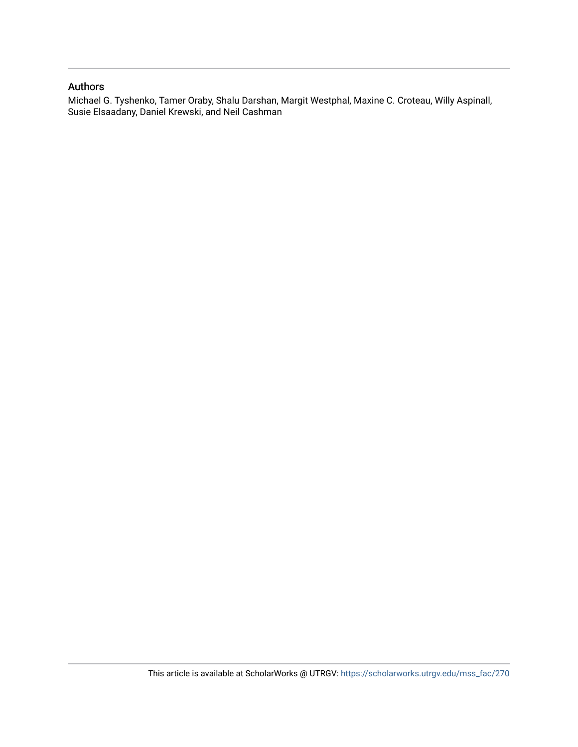# Authors

Michael G. Tyshenko, Tamer Oraby, Shalu Darshan, Margit Westphal, Maxine C. Croteau, Willy Aspinall, Susie Elsaadany, Daniel Krewski, and Neil Cashman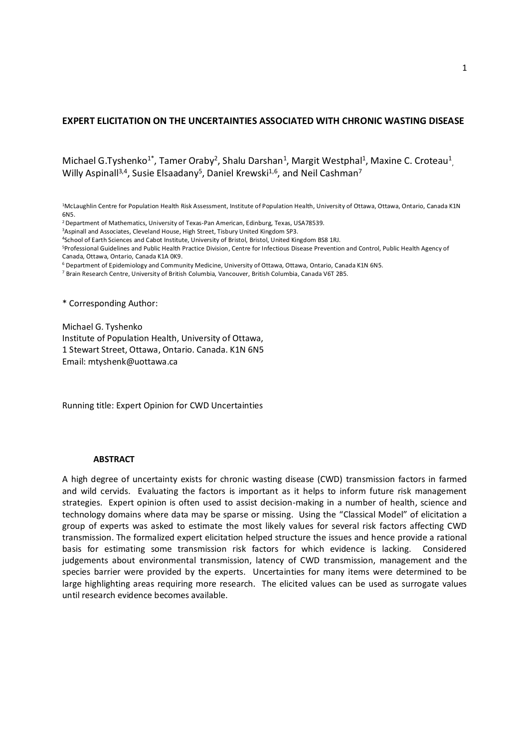# **EXPERT ELICITATION ON THE UNCERTAINTIES ASSOCIATED WITH CHRONIC WASTING DISEASE**

Michael G.Tyshenko<sup>1\*</sup>, Tamer Oraby<sup>2</sup>, Shalu Darshan<sup>1</sup>, Margit Westphal<sup>1</sup>, Maxine C. Croteau<sup>1</sup>, Willy Aspinall<sup>3,4</sup>, Susie Elsaadany<sup>5</sup>, Daniel Krewski<sup>1,6</sup>, and Neil Cashman<sup>7</sup>

<sup>1</sup>McLaughlin Centre for Population Health Risk Assessment, Institute of Population Health, University of Ottawa, Ottawa, Ontario, Canada K1N 6N5.

<sup>2</sup> Department of Mathematics, University of Texas-Pan American, Edinburg, Texas, USA78539.

<sup>3</sup>Aspinall and Associates, Cleveland House, High Street, Tisbury United Kingdom SP3.

<sup>4</sup>School of Earth Sciences and Cabot Institute, University of Bristol, Bristol, United Kingdom BS8 1RJ.

<sup>5</sup>Professional Guidelines and Public Health Practice Division, Centre for Infectious Disease Prevention and Control, Public Health Agency of Canada, Ottawa, Ontario, Canada K1A 0K9.

<sup>6</sup> Department of Epidemiology and Community Medicine, University of Ottawa, Ottawa, Ontario, Canada K1N 6N5.

<sup>7</sup> Brain Research Centre, University of British Columbia, Vancouver, British Columbia, Canada V6T 2B5.

\* Corresponding Author:

Michael G. Tyshenko Institute of Population Health, University of Ottawa, 1 Stewart Street, Ottawa, Ontario. Canada. K1N 6N5 Email: mtyshenk@uottawa.ca

Running title: Expert Opinion for CWD Uncertainties

#### **ABSTRACT**

A high degree of uncertainty exists for chronic wasting disease (CWD) transmission factors in farmed and wild cervids. Evaluating the factors is important as it helps to inform future risk management strategies. Expert opinion is often used to assist decision-making in a number of health, science and technology domains where data may be sparse or missing. Using the "Classical Model" of elicitation a group of experts was asked to estimate the most likely values for several risk factors affecting CWD transmission. The formalized expert elicitation helped structure the issues and hence provide a rational basis for estimating some transmission risk factors for which evidence is lacking. Considered judgements about environmental transmission, latency of CWD transmission, management and the species barrier were provided by the experts. Uncertainties for many items were determined to be large highlighting areas requiring more research. The elicited values can be used as surrogate values until research evidence becomes available.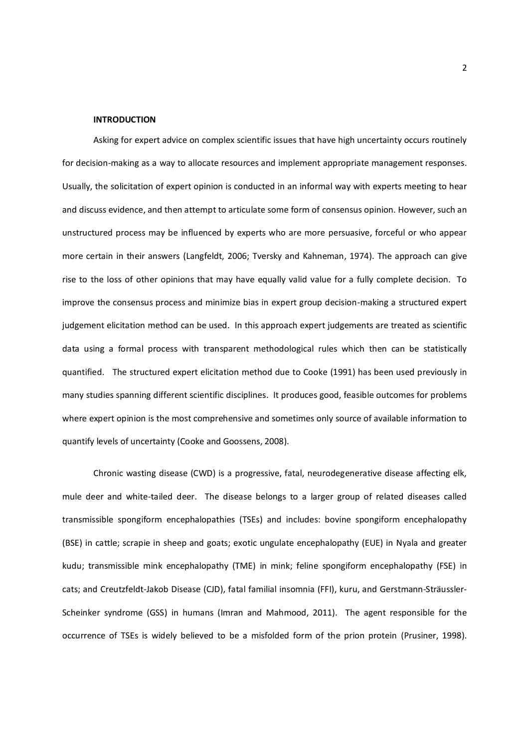#### **INTRODUCTION**

Asking for expert advice on complex scientific issues that have high uncertainty occurs routinely for decision-making as a way to allocate resources and implement appropriate management responses. Usually, the solicitation of expert opinion is conducted in an informal way with experts meeting to hear and discuss evidence, and then attempt to articulate some form of consensus opinion. However, such an unstructured process may be influenced by experts who are more persuasive, forceful or who appear more certain in their answers (Langfeldt, 2006; Tversky and Kahneman, 1974). The approach can give rise to the loss of other opinions that may have equally valid value for a fully complete decision. To improve the consensus process and minimize bias in expert group decision-making a structured expert judgement elicitation method can be used. In this approach expert judgements are treated as scientific data using a formal process with transparent methodological rules which then can be statistically quantified. The structured expert elicitation method due to Cooke (1991) has been used previously in many studies spanning different scientific disciplines. It produces good, feasible outcomes for problems where expert opinion is the most comprehensive and sometimes only source of available information to quantify levels of uncertainty (Cooke and Goossens, 2008).

Chronic wasting disease (CWD) is a progressive, fatal, neurodegenerative disease affecting elk, mule deer and white-tailed deer. The disease belongs to a larger group of related diseases called transmissible spongiform encephalopathies (TSEs) and includes: bovine spongiform encephalopathy (BSE) in cattle; scrapie in sheep and goats; exotic ungulate encephalopathy (EUE) in Nyala and greater kudu; transmissible mink encephalopathy (TME) in mink; feline spongiform encephalopathy (FSE) in cats; and Creutzfeldt-Jakob Disease (CJD), fatal familial insomnia (FFI), kuru, and Gerstmann-Sträussler-Scheinker syndrome (GSS) in humans (Imran and Mahmood, 2011). The agent responsible for the occurrence of TSEs is widely believed to be a misfolded form of the prion protein (Prusiner, 1998).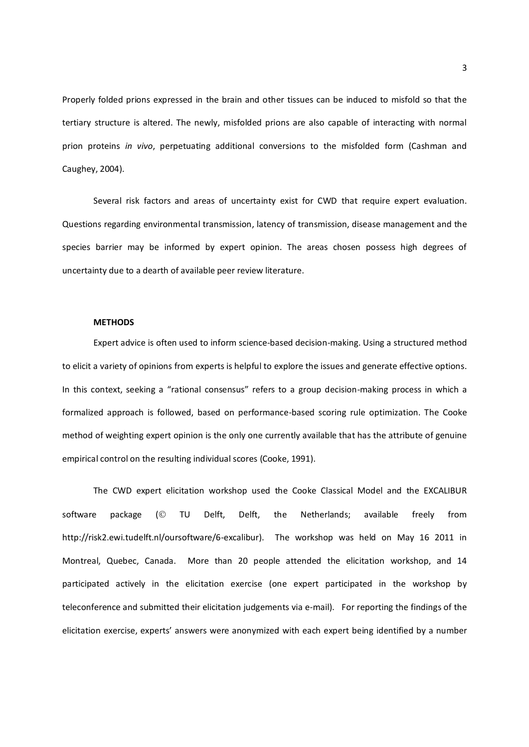Properly folded prions expressed in the brain and other tissues can be induced to misfold so that the tertiary structure is altered. The newly, misfolded prions are also capable of interacting with normal prion proteins *in vivo*, perpetuating additional conversions to the misfolded form (Cashman and Caughey, 2004).

Several risk factors and areas of uncertainty exist for CWD that require expert evaluation. Questions regarding environmental transmission, latency of transmission, disease management and the species barrier may be informed by expert opinion. The areas chosen possess high degrees of uncertainty due to a dearth of available peer review literature.

#### **METHODS**

Expert advice is often used to inform science-based decision-making. Using a structured method to elicit a variety of opinions from experts is helpful to explore the issues and generate effective options. In this context, seeking a "rational consensus" refers to a group decision-making process in which a formalized approach is followed, based on performance-based scoring rule optimization. The Cooke method of weighting expert opinion is the only one currently available that has the attribute of genuine empirical control on the resulting individual scores (Cooke, 1991).

The CWD expert elicitation workshop used the Cooke Classical Model and the EXCALIBUR software package ( $\odot$  TU Delft, Delft, the Netherlands; available freely from http://risk2.ewi.tudelft.nl/oursoftware/6-excalibur). The workshop was held on May 16 2011 in Montreal, Quebec, Canada. More than 20 people attended the elicitation workshop, and 14 participated actively in the elicitation exercise (one expert participated in the workshop by teleconference and submitted their elicitation judgements via e-mail). For reporting the findings of the elicitation exercise, experts' answers were anonymized with each expert being identified by a number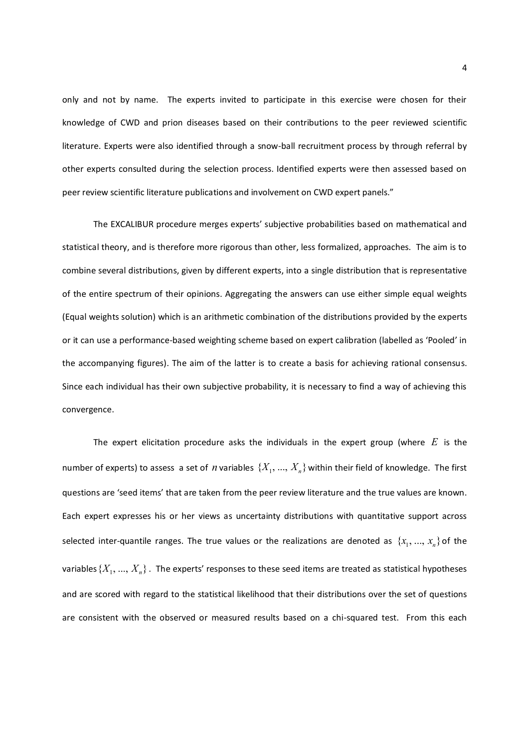only and not by name. The experts invited to participate in this exercise were chosen for their knowledge of CWD and prion diseases based on their contributions to the peer reviewed scientific literature. Experts were also identified through a snow-ball recruitment process by through referral by other experts consulted during the selection process. Identified experts were then assessed based on peer review scientific literature publications and involvement on CWD expert panels."

The EXCALIBUR procedure merges experts' subjective probabilities based on mathematical and statistical theory, and is therefore more rigorous than other, less formalized, approaches. The aim is to combine several distributions, given by different experts, into a single distribution that is representative of the entire spectrum of their opinions. Aggregating the answers can use either simple equal weights (Equal weights solution) which is an arithmetic combination of the distributions provided by the experts or it can use a performance-based weighting scheme based on expert calibration (labelled as 'Pooled' in the accompanying figures). The aim of the latter is to create a basis for achieving rational consensus. Since each individual has their own subjective probability, it is necessary to find a way of achieving this convergence.

The expert elicitation procedure asks the individuals in the expert group (where *E* is the number of experts) to assess a set of *n* variables  $\{X_1, ..., X_n\}$  within their field of knowledge. The first questions are 'seed items' that are taken from the peer review literature and the true values are known. Each expert expresses his or her views as uncertainty distributions with quantitative support across selected inter-quantile ranges. The true values or the realizations are denoted as  $\{x_1, ..., x_n\}$  of the variables  $\{X_1,...,X_n\}$  . The experts' responses to these seed items are treated as statistical hypotheses and are scored with regard to the statistical likelihood that their distributions over the set of questions are consistent with the observed or measured results based on a chi-squared test. From this each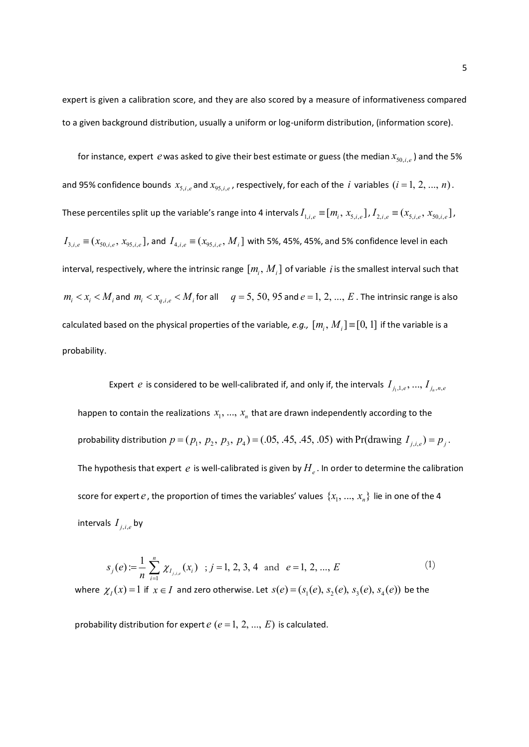expert is given a calibration score, and they are also scored by a measure of informativeness compared to a given background distribution, usually a uniform or log-uniform distribution, (information score).

for instance, expert  $e$  was asked to give their best estimate or guess (the median  $x_{50,i,e}$ ) and the 5% and 95% confidence bounds  $x_{5,i,e}$  and  $x_{95,i,e}$ , respectively, for each of the *i* variables  $(i = 1, 2, ..., n)$ . These percentiles split up the variable's range into 4 intervals  $I_{1,i,e}$   $\equiv$   $[m_i,x_{5,i,e}$  ],  $I_{2,i,e}$   $\equiv$   $(x_{5,i,e},x_{50,i,e}$  ],  $I_{3,i,e} \equiv (x_{50,i,e}, x_{95,i,e}]$ , and  $I_{4,i,e} \equiv (x_{95,i,e}, M_i]$  with 5%, 45%, 45%, and 5% confidence level in each interval, respectively, where the intrinsic range  $[m_i, M_i]$  of variable *i* is the smallest interval such that  $m_i < x_i < M$ <sub>*i*</sub> and  $m_i < x_{q,i,e} < M$ <sub>*i*</sub> for all  $q = 5, 50, 95$  and  $e = 1, 2, ..., E$ . The intrinsic range is also calculated based on the physical properties of the variable, e.g.,  $[m_i, M_i] \equiv [0, 1]$  if the variable is a probability.

Expert *e* is considered to be well-calibrated if, and only if, the intervals  $I_{j_1,1,e},..., I_{j_n,n,e}$ happen to contain the realizations  $x_1, ..., x_n$  that are drawn independently according to the probability distribution  $p = (p_1, p_2, p_3, p_4) = (.05, .45, .05)$  with Pr(drawing  $I_{j,i,e}$ ) =  $p_j$ . The hypothesis that expert  $\,e\,$  is well-calibrated is given by  $H_{_e}.$  In order to determine the calibration score for expert  $e$  , the proportion of times the variables' values  $\{x_1, ..., x_n\}$  lie in one of the 4 intervals  $I_{j,i,e}$  by

$$
s_j(e) := \frac{1}{n} \sum_{i=1}^n \chi_{I_{j,i,e}}(x_i) \quad ; j = 1, 2, 3, 4 \quad \text{and} \quad e = 1, 2, ..., E
$$
 (1)

where  $\chi_I(x) = 1$  if  $x \in I$  and zero otherwise. Let  $s(e) = (s_1(e), s_2(e), s_3(e), s_4(e))$  be the

probability distribution for expert  $e$  ( $e = 1, 2, ..., E$ ) is calculated.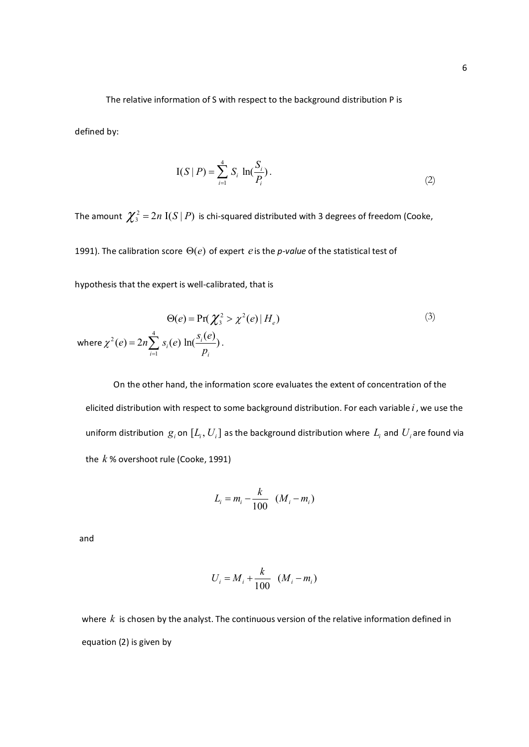The relative information of S with respect to the background distribution P is

defined by:

$$
I(S | P) = \sum_{i=1}^{4} S_i \ln(\frac{S_i}{P_i}).
$$
\n(2)

The amount  $\chi^2 = 2n$  I $(S | P)$  is chi-squared distributed with 3 degrees of freedom (Cooke,

1991). The calibration score  $\Theta(e)$  of expert *e* is the *p-value* of the statistical test of

hypothesis that the expert is well-calibrated, that is

$$
\Theta(e) = \Pr(\chi_3^2 > \chi^2(e) | H_e)
$$
\nwhere  $\chi^2(e) = 2n \sum_{i=1}^4 s_i(e) \ln(\frac{s_i(e)}{p_i})$ .

\n(3)

 On the other hand, the information score evaluates the extent of concentration of the elicited distribution with respect to some background distribution. For each variable *i* , we use the uniform distribution  $\,g_i$  on  $\left[L_i, U_i\right]$  as the background distribution where  $\,L_i$  and  $\,U_i$ are found via the *k* % overshoot rule (Cooke, 1991)

$$
L_i = m_i - \frac{k}{100} \quad (M_i - m_i)
$$

and

$$
U_i = M_i + \frac{k}{100} \left( M_i - m_i \right)
$$

where *k* is chosen by the analyst. The continuous version of the relative information defined in equation (2) is given by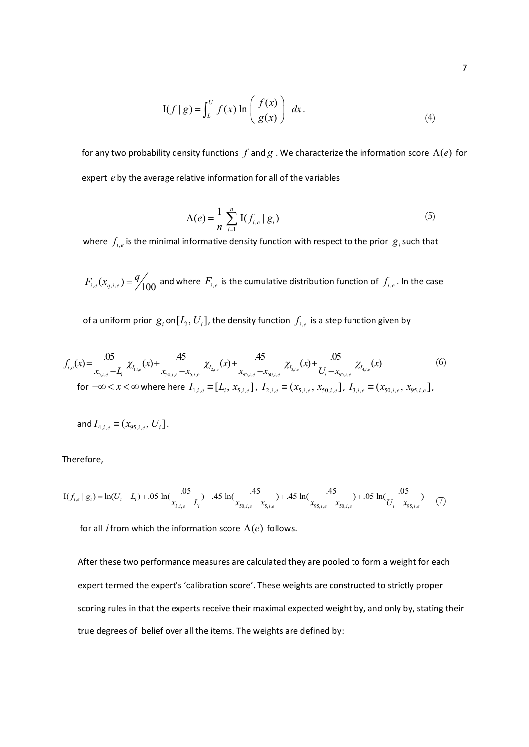$$
I(f | g) = \int_{L}^{U} f(x) \ln \left( \frac{f(x)}{g(x)} \right) dx.
$$
 (4)

for any two probability density functions  $f$  and  $g$  . We characterize the information score  $\Lambda(e)$  for expert *e* by the average relative information for all of the variables

$$
\Lambda(e) = \frac{1}{n} \sum_{i=1}^{n} \mathrm{I}(f_{i,e} | g_i)
$$
 (5)

where  $f_{i,e}$  is the minimal informative density function with respect to the prior  $g_i$  such that

 $F_{i,e}(x_{q,i,e}) = \frac{q}{100}$  and where  $F_{i,e}$  is the cumulative distribution function of  $f_{i,e}$  . In the case

of a uniform prior  $\vert \mathcal{G}_i$  on $[L_i, U_i]$ , the density function  $\int_{i,e}$  is a step function given by

$$
f_{i,e}(x) = \frac{.05}{x_{5,i,e} - L_i} \chi_{I_{1,i,e}}(x) + \frac{.45}{x_{50,i,e} - x_{5,i,e}} \chi_{I_{2,i,e}}(x) + \frac{.45}{x_{50,i,e} - x_{50,i,e}} \chi_{I_{3,i,e}}(x) + \frac{.05}{U_i - x_{50,i,e}} \chi_{I_{4,i,e}}(x)
$$
\n
$$
\text{for } -\infty < x < \infty \text{ where here } I_{1,i,e} \equiv [L_i, x_{5,i,e}], \ I_{2,i,e} \equiv (x_{5,i,e}, x_{50,i,e}], \ I_{3,i,e} \equiv (x_{50,i,e}, x_{50,i,e}],
$$
\n
$$
(6)
$$

and 
$$
I_{4,i,e} \equiv (x_{95,i,e}, U_i]
$$
.

Therefore,

$$
I(f_{i,e} | g_i) = \ln(U_i - L_i) + .05 \ln(\frac{.05}{x_{5,i,e} - L_i}) + .45 \ln(\frac{.45}{x_{50,i,e} - x_{5,i,e}}) + .45 \ln(\frac{.45}{x_{55,i,e} - x_{50,i,e}}) + .05 \ln(\frac{.05}{U_i - x_{55,i,e}})
$$
(7)

for all *i* from which the information score  $\Lambda(e)$  follows.

After these two performance measures are calculated they are pooled to form a weight for each expert termed the expert's 'calibration score'. These weights are constructed to strictly proper scoring rules in that the experts receive their maximal expected weight by, and only by, stating their true degrees of belief over all the items. The weights are defined by: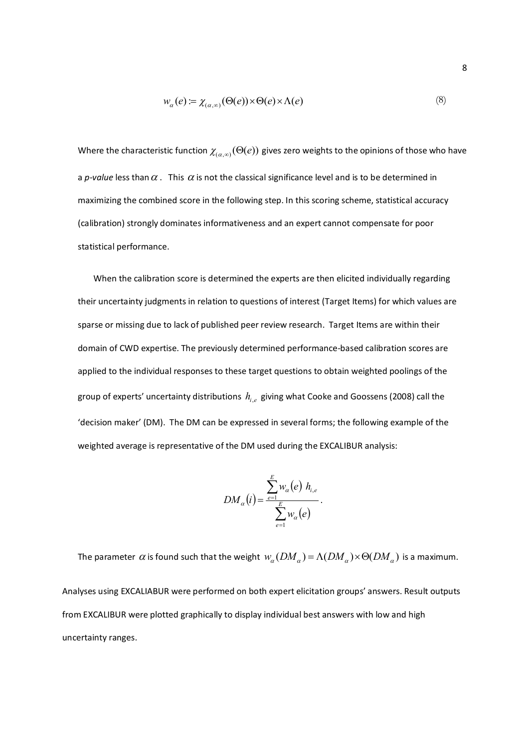$$
w_{\alpha}(e) = \chi_{(\alpha,\infty)}(\Theta(e)) \times \Theta(e) \times \Lambda(e)
$$
\n(8)

Where the characteristic function  $\chi_{(a, \omega)}(\Theta(e))$  gives zero weights to the opinions of those who have a *p-value* less than  $\alpha$ . This  $\alpha$  is not the classical significance level and is to be determined in maximizing the combined score in the following step. In this scoring scheme, statistical accuracy (calibration) strongly dominates informativeness and an expert cannot compensate for poor statistical performance.

When the calibration score is determined the experts are then elicited individually regarding their uncertainty judgments in relation to questions of interest (Target Items) for which values are sparse or missing due to lack of published peer review research. Target Items are within their domain of CWD expertise. The previously determined performance-based calibration scores are applied to the individual responses to these target questions to obtain weighted poolings of the group of experts' uncertainty distributions  $\,h_{_{i,e}}\,$  giving what Cooke and Goossens (2008) call the 'decision maker' (DM). The DM can be expressed in several forms; the following example of the weighted average is representative of the DM used during the EXCALIBUR analysis:

$$
DM_{\alpha}(i) = \frac{\sum_{e=1}^{E} w_{\alpha}(e) h_{i,e}}{\sum_{e=1}^{E} w_{\alpha}(e)}.
$$

The parameter  $\alpha$  is found such that the weight  $w_a(DM_a) = \Lambda(DM_a) \times \Theta(DM_a)$  is a maximum. Analyses using EXCALIABUR were performed on both expert elicitation groups' answers. Result outputs from EXCALIBUR were plotted graphically to display individual best answers with low and high uncertainty ranges.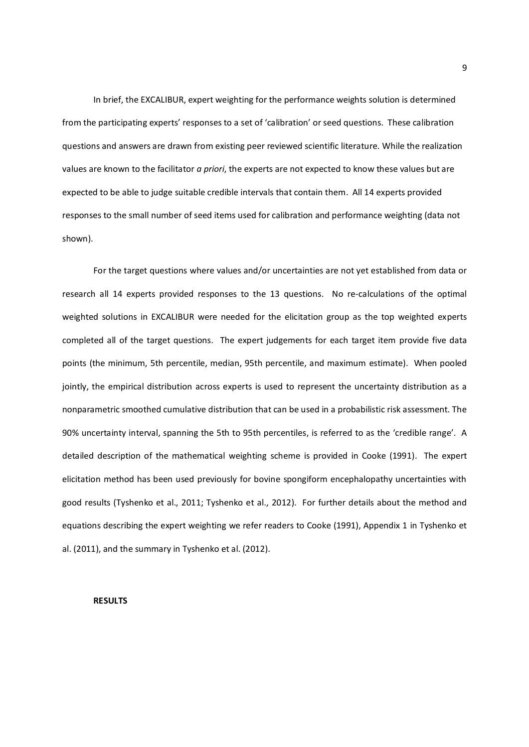In brief, the EXCALIBUR, expert weighting for the performance weights solution is determined from the participating experts' responses to a set of 'calibration' or seed questions. These calibration questions and answers are drawn from existing peer reviewed scientific literature. While the realization values are known to the facilitator *a priori*, the experts are not expected to know these values but are expected to be able to judge suitable credible intervals that contain them. All 14 experts provided responses to the small number of seed items used for calibration and performance weighting (data not shown).

For the target questions where values and/or uncertainties are not yet established from data or research all 14 experts provided responses to the 13 questions. No re-calculations of the optimal weighted solutions in EXCALIBUR were needed for the elicitation group as the top weighted experts completed all of the target questions. The expert judgements for each target item provide five data points (the minimum, 5th percentile, median, 95th percentile, and maximum estimate). When pooled jointly, the empirical distribution across experts is used to represent the uncertainty distribution as a nonparametric smoothed cumulative distribution that can be used in a probabilistic risk assessment. The 90% uncertainty interval, spanning the 5th to 95th percentiles, is referred to as the 'credible range'. A detailed description of the mathematical weighting scheme is provided in Cooke (1991). The expert elicitation method has been used previously for bovine spongiform encephalopathy uncertainties with good results (Tyshenko et al., 2011; Tyshenko et al., 2012). For further details about the method and equations describing the expert weighting we refer readers to Cooke (1991), Appendix 1 in Tyshenko et al. (2011), and the summary in Tyshenko et al. (2012).

## **RESULTS**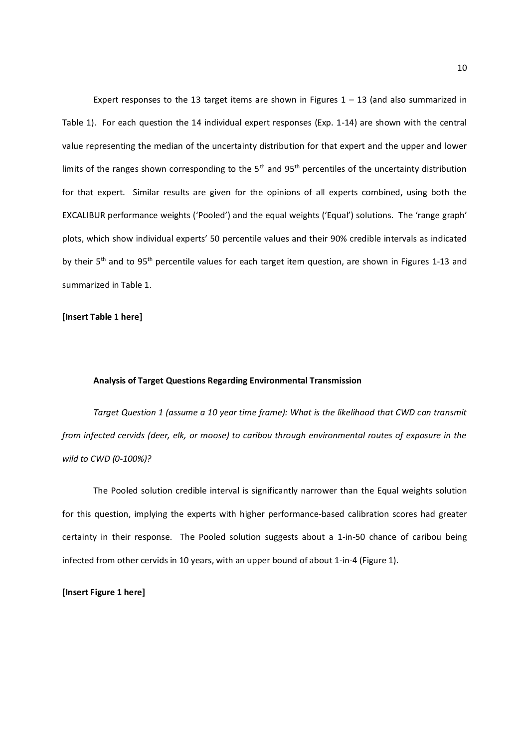Expert responses to the 13 target items are shown in Figures  $1 - 13$  (and also summarized in Table 1). For each question the 14 individual expert responses (Exp. 1-14) are shown with the central value representing the median of the uncertainty distribution for that expert and the upper and lower limits of the ranges shown corresponding to the  $5<sup>th</sup>$  and  $95<sup>th</sup>$  percentiles of the uncertainty distribution for that expert. Similar results are given for the opinions of all experts combined, using both the EXCALIBUR performance weights ('Pooled') and the equal weights ('Equal') solutions. The 'range graph' plots, which show individual experts' 50 percentile values and their 90% credible intervals as indicated by their 5<sup>th</sup> and to 95<sup>th</sup> percentile values for each target item question, are shown in Figures 1-13 and summarized in Table 1.

#### **[Insert Table 1 here]**

#### **Analysis of Target Questions Regarding Environmental Transmission**

*Target Question 1 (assume a 10 year time frame): What is the likelihood that CWD can transmit from infected cervids (deer, elk, or moose) to caribou through environmental routes of exposure in the wild to CWD (0-100%)?* 

The Pooled solution credible interval is significantly narrower than the Equal weights solution for this question, implying the experts with higher performance-based calibration scores had greater certainty in their response. The Pooled solution suggests about a 1-in-50 chance of caribou being infected from other cervids in 10 years, with an upper bound of about 1-in-4 (Figure 1).

**[Insert Figure 1 here]**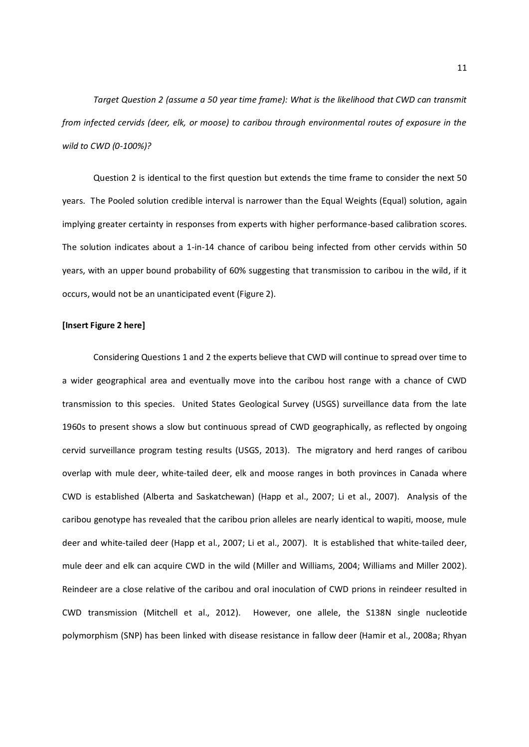*Target Question 2 (assume a 50 year time frame): What is the likelihood that CWD can transmit from infected cervids (deer, elk, or moose) to caribou through environmental routes of exposure in the wild to CWD (0-100%)?*

Question 2 is identical to the first question but extends the time frame to consider the next 50 years. The Pooled solution credible interval is narrower than the Equal Weights (Equal) solution, again implying greater certainty in responses from experts with higher performance-based calibration scores. The solution indicates about a 1-in-14 chance of caribou being infected from other cervids within 50 years, with an upper bound probability of 60% suggesting that transmission to caribou in the wild, if it occurs, would not be an unanticipated event (Figure 2).

#### **[Insert Figure 2 here]**

Considering Questions 1 and 2 the experts believe that CWD will continue to spread over time to a wider geographical area and eventually move into the caribou host range with a chance of CWD transmission to this species. United States Geological Survey (USGS) surveillance data from the late 1960s to present shows a slow but continuous spread of CWD geographically, as reflected by ongoing cervid surveillance program testing results (USGS, 2013). The migratory and herd ranges of caribou overlap with mule deer, white-tailed deer, elk and moose ranges in both provinces in Canada where CWD is established (Alberta and Saskatchewan) (Happ et al., 2007; Li et al., 2007). Analysis of the caribou genotype has revealed that the caribou prion alleles are nearly identical to wapiti, moose, mule deer and white-tailed deer (Happ et al., 2007; Li et al., 2007). It is established that white-tailed deer, mule deer and elk can acquire CWD in the wild (Miller and Williams, 2004; Williams and Miller 2002). Reindeer are a close relative of the caribou and oral inoculation of CWD prions in reindeer resulted in CWD transmission (Mitchell et al., 2012). However, one allele, the S138N single nucleotide polymorphism (SNP) has been linked with disease resistance in fallow deer (Hamir et al., 2008a; Rhyan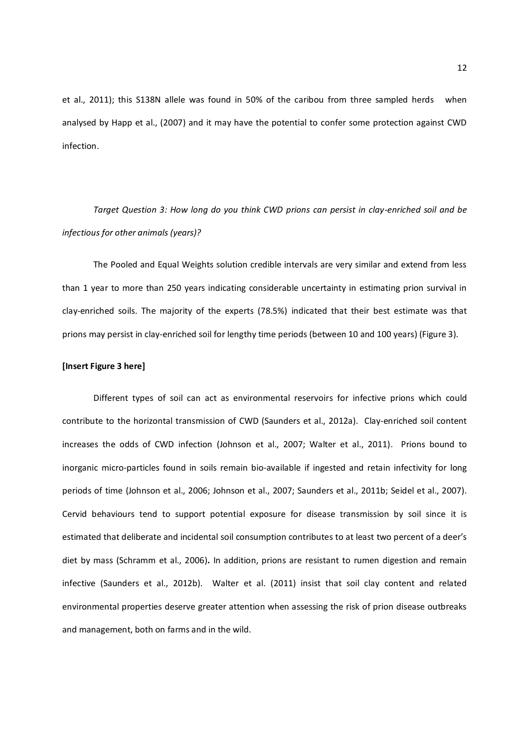et al., 2011); this S138N allele was found in 50% of the caribou from three sampled herds when analysed by Happ et al., (2007) and it may have the potential to confer some protection against CWD infection.

*Target Question 3: How long do you think CWD prions can persist in clay-enriched soil and be infectious for other animals (years)?*

The Pooled and Equal Weights solution credible intervals are very similar and extend from less than 1 year to more than 250 years indicating considerable uncertainty in estimating prion survival in clay-enriched soils. The majority of the experts (78.5%) indicated that their best estimate was that prions may persist in clay-enriched soil for lengthy time periods (between 10 and 100 years) (Figure 3).

#### **[Insert Figure 3 here]**

Different types of soil can act as environmental reservoirs for infective prions which could contribute to the horizontal transmission of CWD (Saunders et al., 2012a). Clay-enriched soil content increases the odds of CWD infection (Johnson et al., 2007; Walter et al., 2011). Prions bound to inorganic micro-particles found in soils remain bio-available if ingested and retain infectivity for long periods of time (Johnson et al., 2006; Johnson et al., 2007; Saunders et al., 2011b; Seidel et al., 2007). Cervid behaviours tend to support potential exposure for disease transmission by soil since it is estimated that deliberate and incidental soil consumption contributes to at least two percent of a deer's diet by mass (Schramm et al., 2006)**.** In addition, prions are resistant to rumen digestion and remain infective (Saunders et al., 2012b). Walter et al. (2011) insist that soil clay content and related environmental properties deserve greater attention when assessing the risk of prion disease outbreaks and management, both on farms and in the wild.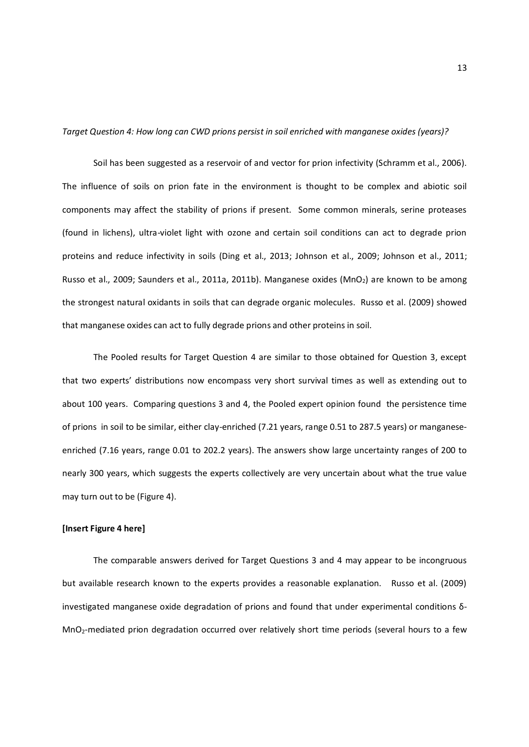*Target Question 4: How long can CWD prions persist in soil enriched with manganese oxides (years)?* 

Soil has been suggested as a reservoir of and vector for prion infectivity (Schramm et al., 2006). The influence of soils on prion fate in the environment is thought to be complex and abiotic soil components may affect the stability of prions if present. Some common minerals, serine proteases (found in lichens), ultra-violet light with ozone and certain soil conditions can act to degrade prion proteins and reduce infectivity in soils (Ding et al., 2013; Johnson et al., 2009; Johnson et al., 2011; Russo et al., 2009; Saunders et al., 2011a, 2011b). Manganese oxides (MnO<sub>2</sub>) are known to be among the strongest natural oxidants in soils that can degrade organic molecules. Russo et al. (2009) showed that manganese oxides can act to fully degrade prions and other proteins in soil.

The Pooled results for Target Question 4 are similar to those obtained for Question 3, except that two experts' distributions now encompass very short survival times as well as extending out to about 100 years. Comparing questions 3 and 4, the Pooled expert opinion found the persistence time of prions in soil to be similar, either clay-enriched (7.21 years, range 0.51 to 287.5 years) or manganeseenriched (7.16 years, range 0.01 to 202.2 years). The answers show large uncertainty ranges of 200 to nearly 300 years, which suggests the experts collectively are very uncertain about what the true value may turn out to be (Figure 4).

#### **[Insert Figure 4 here]**

The comparable answers derived for Target Questions 3 and 4 may appear to be incongruous but available research known to the experts provides a reasonable explanation. Russo et al. (2009) investigated manganese oxide degradation of prions and found that under experimental conditions δ-MnO2-mediated prion degradation occurred over relatively short time periods (several hours to a few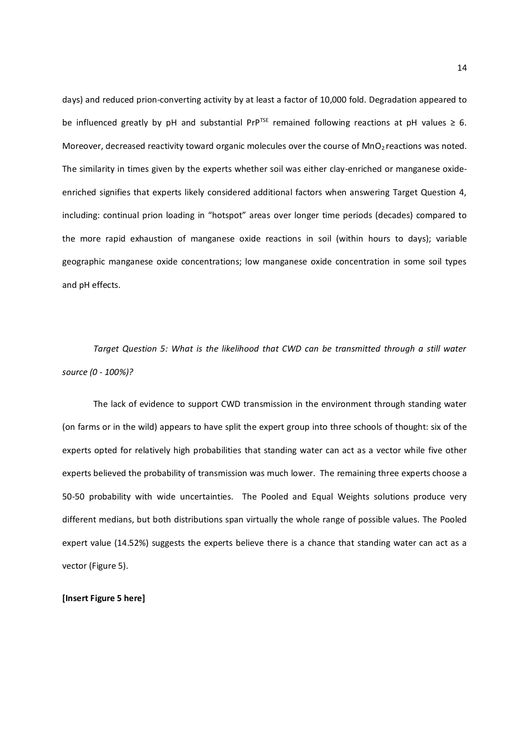days) and reduced prion-converting activity by at least a factor of 10,000 fold. Degradation appeared to be influenced greatly by pH and substantial PrP<sup>TSE</sup> remained following reactions at pH values  $\geq 6$ . Moreover, decreased reactivity toward organic molecules over the course of MnO<sub>2</sub> reactions was noted. The similarity in times given by the experts whether soil was either clay-enriched or manganese oxideenriched signifies that experts likely considered additional factors when answering Target Question 4, including: continual prion loading in "hotspot" areas over longer time periods (decades) compared to the more rapid exhaustion of manganese oxide reactions in soil (within hours to days); variable geographic manganese oxide concentrations; low manganese oxide concentration in some soil types and pH effects.

*Target Question 5: What is the likelihood that CWD can be transmitted through a still water source (0 - 100%)?* 

The lack of evidence to support CWD transmission in the environment through standing water (on farms or in the wild) appears to have split the expert group into three schools of thought: six of the experts opted for relatively high probabilities that standing water can act as a vector while five other experts believed the probability of transmission was much lower. The remaining three experts choose a 50-50 probability with wide uncertainties. The Pooled and Equal Weights solutions produce very different medians, but both distributions span virtually the whole range of possible values. The Pooled expert value (14.52%) suggests the experts believe there is a chance that standing water can act as a vector (Figure 5).

**[Insert Figure 5 here]**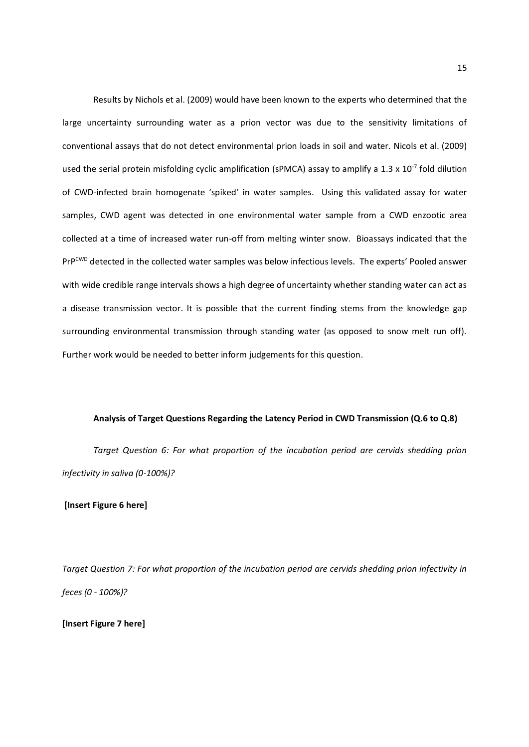Results by Nichols et al. (2009) would have been known to the experts who determined that the large uncertainty surrounding water as a prion vector was due to the sensitivity limitations of conventional assays that do not detect environmental prion loads in soil and water. Nicols et al. (2009) used the serial protein misfolding cyclic amplification (sPMCA) assay to amplify a 1.3 x  $10^{-7}$  fold dilution of CWD-infected brain homogenate 'spiked' in water samples. Using this validated assay for water samples, CWD agent was detected in one environmental water sample from a CWD enzootic area collected at a time of increased water run-off from melting winter snow. Bioassays indicated that the PrPCWD detected in the collected water samples was below infectious levels. The experts' Pooled answer with wide credible range intervals shows a high degree of uncertainty whether standing water can act as a disease transmission vector. It is possible that the current finding stems from the knowledge gap surrounding environmental transmission through standing water (as opposed to snow melt run off). Further work would be needed to better inform judgements for this question.

#### **Analysis of Target Questions Regarding the Latency Period in CWD Transmission (Q.6 to Q.8)**

*Target Question 6: For what proportion of the incubation period are cervids shedding prion infectivity in saliva (0-100%)?* 

#### **[Insert Figure 6 here]**

*Target Question 7: For what proportion of the incubation period are cervids shedding prion infectivity in feces (0 - 100%)?* 

**[Insert Figure 7 here]**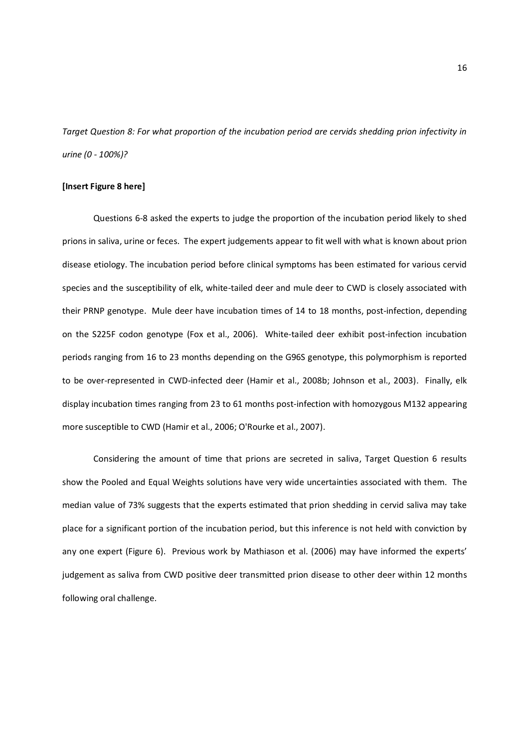*Target Question 8: For what proportion of the incubation period are cervids shedding prion infectivity in urine (0 - 100%)?* 

#### **[Insert Figure 8 here]**

Questions 6-8 asked the experts to judge the proportion of the incubation period likely to shed prions in saliva, urine or feces. The expert judgements appear to fit well with what is known about prion disease etiology. The incubation period before clinical symptoms has been estimated for various cervid species and the susceptibility of elk, white-tailed deer and mule deer to CWD is closely associated with their PRNP genotype. Mule deer have incubation times of 14 to 18 months, post-infection, depending on the S225F codon genotype (Fox et al., 2006). White-tailed deer exhibit post-infection incubation periods ranging from 16 to 23 months depending on the G96S genotype, this polymorphism is reported to be over-represented in CWD-infected deer (Hamir et al., 2008b; Johnson et al., 2003). Finally, elk display incubation times ranging from 23 to 61 months post-infection with homozygous M132 appearing more susceptible to CWD (Hamir et al., 2006; O'Rourke et al., 2007).

Considering the amount of time that prions are secreted in saliva, Target Question 6 results show the Pooled and Equal Weights solutions have very wide uncertainties associated with them. The median value of 73% suggests that the experts estimated that prion shedding in cervid saliva may take place for a significant portion of the incubation period, but this inference is not held with conviction by any one expert (Figure 6). Previous work by Mathiason et al. (2006) may have informed the experts' judgement as saliva from CWD positive deer transmitted prion disease to other deer within 12 months following oral challenge.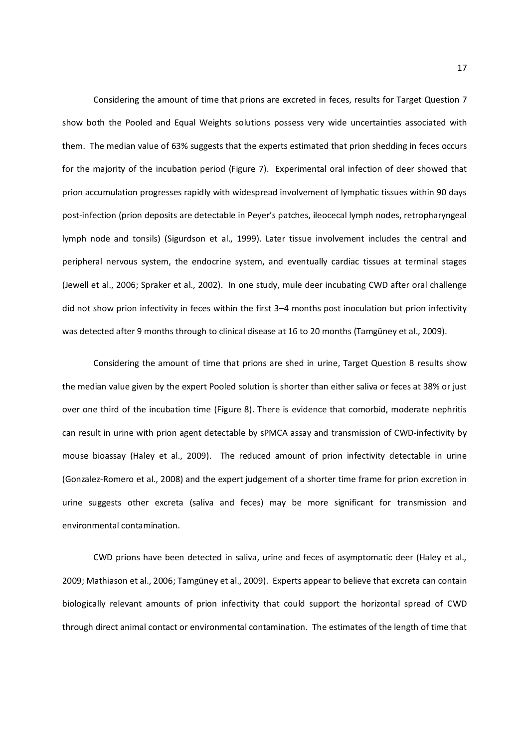Considering the amount of time that prions are excreted in feces, results for Target Question 7 show both the Pooled and Equal Weights solutions possess very wide uncertainties associated with them. The median value of 63% suggests that the experts estimated that prion shedding in feces occurs for the majority of the incubation period (Figure 7). Experimental oral infection of deer showed that prion accumulation progresses rapidly with widespread involvement of lymphatic tissues within 90 days post-infection (prion deposits are detectable in Peyer's patches, ileocecal lymph nodes, retropharyngeal lymph node and tonsils) (Sigurdson et al., 1999). Later tissue involvement includes the central and peripheral nervous system, the endocrine system, and eventually cardiac tissues at terminal stages (Jewell et al., 2006; Spraker et al., 2002). In one study, mule deer incubating CWD after oral challenge did not show prion infectivity in feces within the first 3–4 months post inoculation but prion infectivity was detected after 9 months through to clinical disease at 16 to 20 months (Tamgüney et al., 2009).

Considering the amount of time that prions are shed in urine, Target Question 8 results show the median value given by the expert Pooled solution is shorter than either saliva or feces at 38% or just over one third of the incubation time (Figure 8). There is evidence that comorbid, moderate nephritis can result in urine with prion agent detectable by sPMCA assay and transmission of CWD-infectivity by mouse bioassay (Haley et al., 2009). The reduced amount of prion infectivity detectable in urine (Gonzalez-Romero et al., 2008) and the expert judgement of a shorter time frame for prion excretion in urine suggests other excreta (saliva and feces) may be more significant for transmission and environmental contamination.

CWD prions have been detected in saliva, urine and feces of asymptomatic deer (Haley et al., 2009; Mathiason et al., 2006; Tamgüney et al., 2009). Experts appear to believe that excreta can contain biologically relevant amounts of prion infectivity that could support the horizontal spread of CWD through direct animal contact or environmental contamination. The estimates of the length of time that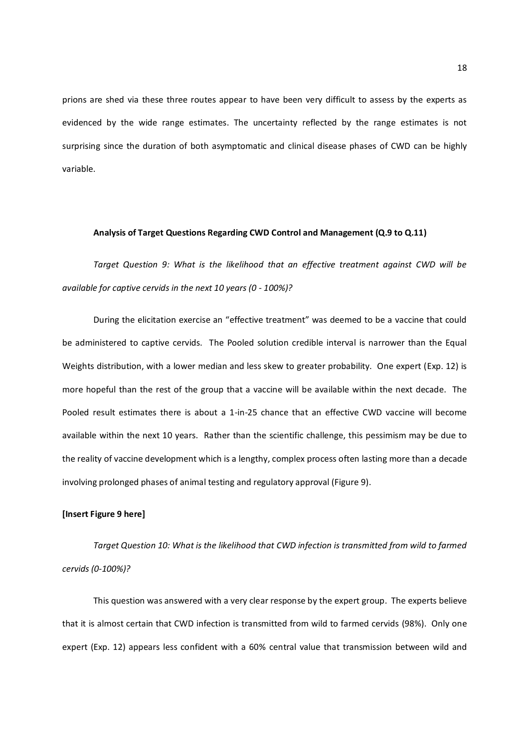prions are shed via these three routes appear to have been very difficult to assess by the experts as evidenced by the wide range estimates. The uncertainty reflected by the range estimates is not surprising since the duration of both asymptomatic and clinical disease phases of CWD can be highly variable.

#### **Analysis of Target Questions Regarding CWD Control and Management (Q.9 to Q.11)**

*Target Question 9: What is the likelihood that an effective treatment against CWD will be available for captive cervids in the next 10 years (0 - 100%)?* 

During the elicitation exercise an "effective treatment" was deemed to be a vaccine that could be administered to captive cervids. The Pooled solution credible interval is narrower than the Equal Weights distribution, with a lower median and less skew to greater probability. One expert (Exp. 12) is more hopeful than the rest of the group that a vaccine will be available within the next decade. The Pooled result estimates there is about a 1-in-25 chance that an effective CWD vaccine will become available within the next 10 years. Rather than the scientific challenge, this pessimism may be due to the reality of vaccine development which is a lengthy, complex process often lasting more than a decade involving prolonged phases of animal testing and regulatory approval (Figure 9).

#### **[Insert Figure 9 here]**

*Target Question 10: What is the likelihood that CWD infection is transmitted from wild to farmed cervids (0-100%)?* 

This question was answered with a very clear response by the expert group. The experts believe that it is almost certain that CWD infection is transmitted from wild to farmed cervids (98%). Only one expert (Exp. 12) appears less confident with a 60% central value that transmission between wild and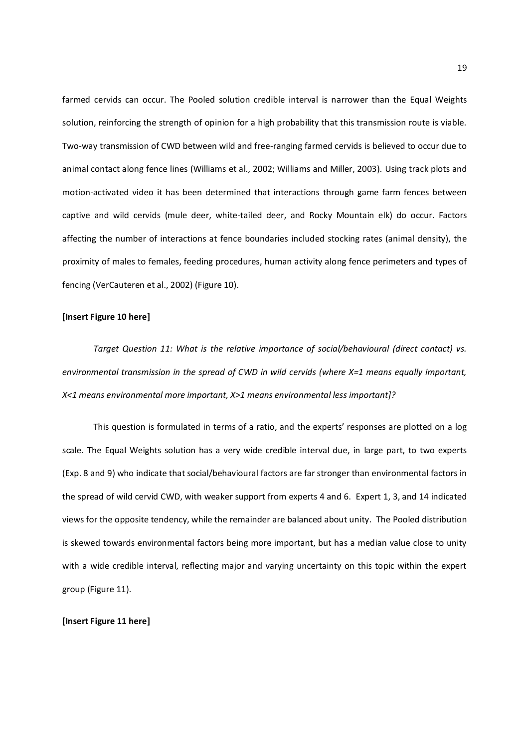farmed cervids can occur. The Pooled solution credible interval is narrower than the Equal Weights solution, reinforcing the strength of opinion for a high probability that this transmission route is viable. Two-way transmission of CWD between wild and free-ranging farmed cervids is believed to occur due to animal contact along fence lines (Williams et al., 2002; Williams and Miller, 2003). Using track plots and motion-activated video it has been determined that interactions through game farm fences between captive and wild cervids (mule deer, white-tailed deer, and Rocky Mountain elk) do occur. Factors affecting the number of interactions at fence boundaries included stocking rates (animal density), the proximity of males to females, feeding procedures, human activity along fence perimeters and types of fencing (VerCauteren et al., 2002) (Figure 10).

#### **[Insert Figure 10 here]**

*Target Question 11: What is the relative importance of social/behavioural (direct contact) vs. environmental transmission in the spread of CWD in wild cervids (where X=1 means equally important, X<1 means environmental more important, X>1 means environmental less important]?* 

This question is formulated in terms of a ratio, and the experts' responses are plotted on a log scale. The Equal Weights solution has a very wide credible interval due, in large part, to two experts (Exp. 8 and 9) who indicate that social/behavioural factors are far stronger than environmental factors in the spread of wild cervid CWD, with weaker support from experts 4 and 6. Expert 1, 3, and 14 indicated views for the opposite tendency, while the remainder are balanced about unity. The Pooled distribution is skewed towards environmental factors being more important, but has a median value close to unity with a wide credible interval, reflecting major and varying uncertainty on this topic within the expert group (Figure 11).

#### **[Insert Figure 11 here]**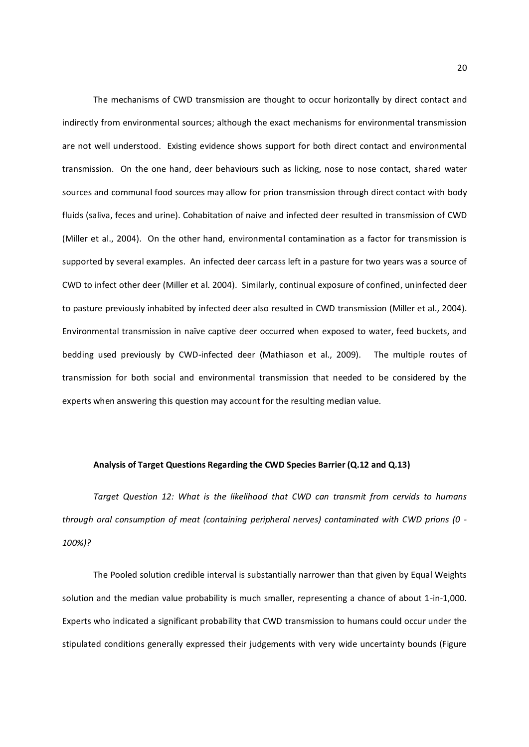The mechanisms of CWD transmission are thought to occur horizontally by direct contact and indirectly from environmental sources; although the exact mechanisms for environmental transmission are not well understood. Existing evidence shows support for both direct contact and environmental transmission. On the one hand, deer behaviours such as licking, nose to nose contact, shared water sources and communal food sources may allow for prion transmission through direct contact with body fluids (saliva, feces and urine). Cohabitation of naive and infected deer resulted in transmission of CWD (Miller et al., 2004). On the other hand, environmental contamination as a factor for transmission is supported by several examples. An infected deer carcass left in a pasture for two years was a source of CWD to infect other deer (Miller et al. 2004). Similarly, continual exposure of confined, uninfected deer to pasture previously inhabited by infected deer also resulted in CWD transmission (Miller et al., 2004). Environmental transmission in naïve captive deer occurred when exposed to water, feed buckets, and bedding used previously by CWD-infected deer (Mathiason et al., 2009). The multiple routes of transmission for both social and environmental transmission that needed to be considered by the experts when answering this question may account for the resulting median value.

#### **Analysis of Target Questions Regarding the CWD Species Barrier (Q.12 and Q.13)**

*Target Question 12: What is the likelihood that CWD can transmit from cervids to humans through oral consumption of meat (containing peripheral nerves) contaminated with CWD prions (0 - 100%)?* 

The Pooled solution credible interval is substantially narrower than that given by Equal Weights solution and the median value probability is much smaller, representing a chance of about 1-in-1,000. Experts who indicated a significant probability that CWD transmission to humans could occur under the stipulated conditions generally expressed their judgements with very wide uncertainty bounds (Figure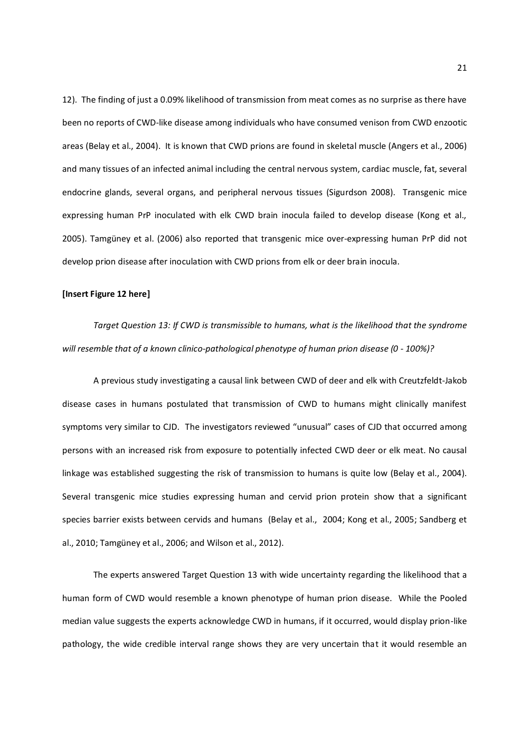12). The finding of just a 0.09% likelihood of transmission from meat comes as no surprise as there have been no reports of CWD-like disease among individuals who have consumed venison from CWD enzootic areas (Belay et al., 2004). It is known that CWD prions are found in skeletal muscle (Angers et al., 2006) and many tissues of an infected animal including the central nervous system, cardiac muscle, fat, several endocrine glands, several organs, and peripheral nervous tissues (Sigurdson 2008). Transgenic mice expressing human PrP inoculated with elk CWD brain inocula failed to develop disease (Kong et al., 2005). Tamgüney et al. (2006) also reported that transgenic mice over-expressing human PrP did not develop prion disease after inoculation with CWD prions from elk or deer brain inocula.

#### **[Insert Figure 12 here]**

*Target Question 13: If CWD is transmissible to humans, what is the likelihood that the syndrome will resemble that of a known clinico-pathological phenotype of human prion disease (0 - 100%)?* 

A previous study investigating a causal link between CWD of deer and elk with Creutzfeldt-Jakob disease cases in humans postulated that transmission of CWD to humans might clinically manifest symptoms very similar to CJD. The investigators reviewed "unusual" cases of CJD that occurred among persons with an increased risk from exposure to potentially infected CWD deer or elk meat. No causal linkage was established suggesting the risk of transmission to humans is quite low (Belay et al., 2004). Several transgenic mice studies expressing human and cervid prion protein show that a significant species barrier exists between cervids and humans (Belay et al., 2004; Kong et al., 2005; Sandberg et al., 2010; Tamgüney et al., 2006; and Wilson et al., 2012).

The experts answered Target Question 13 with wide uncertainty regarding the likelihood that a human form of CWD would resemble a known phenotype of human prion disease. While the Pooled median value suggests the experts acknowledge CWD in humans, if it occurred, would display prion-like pathology, the wide credible interval range shows they are very uncertain that it would resemble an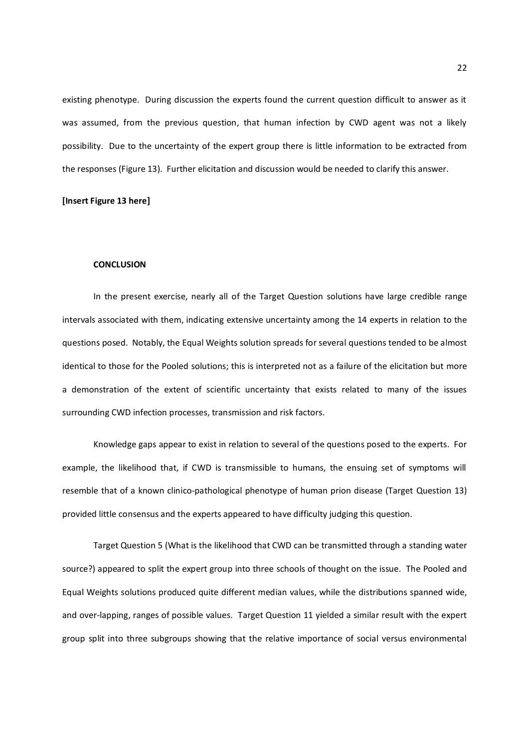existing phenotype. During discussion the experts found the current question difficult to answer as it was assumed, from the previous question, that human infection by CWD agent was not a likely possibility. Due to the uncertainty of the expert group there is little information to be extracted from the responses (Figure 13). Further elicitation and discussion would be needed to clarify this answer.

#### **[Insert Figure 13 here]**

#### **CONCLUSION**

In the present exercise, nearly all of the Target Question solutions have large credible range intervals associated with them, indicating extensive uncertainty among the 14 experts in relation to the questions posed. Notably, the Equal Weights solution spreads for several questions tended to be almost identical to those for the Pooled solutions; this is interpreted not as a failure of the elicitation but more a demonstration of the extent of scientific uncertainty that exists related to many of the issues surrounding CWD infection processes, transmission and risk factors.

Knowledge gaps appear to exist in relation to several of the questions posed to the experts. For example, the likelihood that, if CWD is transmissible to humans, the ensuing set of symptoms will resemble that of a known clinico-pathological phenotype of human prion disease (Target Question 13) provided little consensus and the experts appeared to have difficulty judging this question.

Target Question 5 (What is the likelihood that CWD can be transmitted through a standing water source?) appeared to split the expert group into three schools of thought on the issue. The Pooled and Equal Weights solutions produced quite different median values, while the distributions spanned wide, and over-lapping, ranges of possible values. Target Question 11 yielded a similar result with the expert group split into three subgroups showing that the relative importance of social versus environmental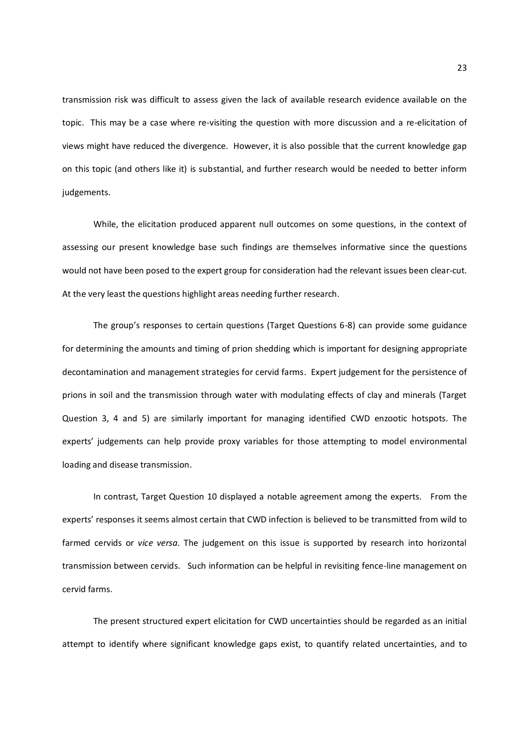transmission risk was difficult to assess given the lack of available research evidence available on the topic. This may be a case where re-visiting the question with more discussion and a re-elicitation of views might have reduced the divergence. However, it is also possible that the current knowledge gap on this topic (and others like it) is substantial, and further research would be needed to better inform judgements.

While, the elicitation produced apparent null outcomes on some questions, in the context of assessing our present knowledge base such findings are themselves informative since the questions would not have been posed to the expert group for consideration had the relevant issues been clear-cut. At the very least the questions highlight areas needing further research.

The group's responses to certain questions (Target Questions 6-8) can provide some guidance for determining the amounts and timing of prion shedding which is important for designing appropriate decontamination and management strategies for cervid farms. Expert judgement for the persistence of prions in soil and the transmission through water with modulating effects of clay and minerals (Target Question 3, 4 and 5) are similarly important for managing identified CWD enzootic hotspots. The experts' judgements can help provide proxy variables for those attempting to model environmental loading and disease transmission.

In contrast, Target Question 10 displayed a notable agreement among the experts. From the experts' responses it seems almost certain that CWD infection is believed to be transmitted from wild to farmed cervids or *vice versa*. The judgement on this issue is supported by research into horizontal transmission between cervids. Such information can be helpful in revisiting fence-line management on cervid farms.

The present structured expert elicitation for CWD uncertainties should be regarded as an initial attempt to identify where significant knowledge gaps exist, to quantify related uncertainties, and to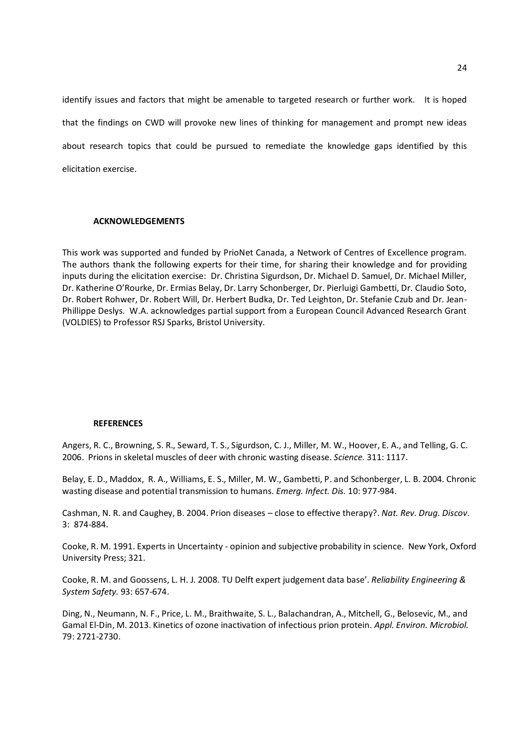identify issues and factors that might be amenable to targeted research or further work. It is hoped that the findings on CWD will provoke new lines of thinking for management and prompt new ideas about research topics that could be pursued to remediate the knowledge gaps identified by this elicitation exercise.

#### **ACKNOWLEDGEMENTS**

This work was supported and funded by PrioNet Canada, a Network of Centres of Excellence program. The authors thank the following experts for their time, for sharing their knowledge and for providing inputs during the elicitation exercise: Dr. Christina Sigurdson, Dr. Michael D. Samuel, Dr. Michael Miller, Dr. Katherine O'Rourke, Dr. Ermias Belay, Dr. Larry Schonberger, Dr. Pierluigi Gambetti, Dr. Claudio Soto, Dr. Robert Rohwer, Dr. Robert Will, Dr. Herbert Budka, Dr. Ted Leighton, Dr. Stefanie Czub and Dr. Jean-Phillippe Deslys. W.A. acknowledges partial support from a European Council Advanced Research Grant (VOLDIES) to Professor RSJ Sparks, Bristol University.

#### **REFERENCES**

Angers, R. C., Browning, S. R., Seward, T. S., Sigurdson, C. J., Miller, M. W., Hoover, E. A., and Telling, G. C. 2006. Prions in skeletal muscles of deer with chronic wasting disease. *Science.* 311: 1117.

Belay, E. D., Maddox, R. A., Williams, E. S., Miller, M. W., Gambetti, P. and Schonberger, L. B. 2004. Chronic wasting disease and potential transmission to humans. *Emerg. Infect. Dis.* 10: 977-984.

Cashman, N. R. and Caughey, B. 2004. Prion diseases – close to effective therapy?. *Nat. Rev. Drug. Discov*. 3: 874-884.

Cooke, R. M. 1991. Experts in Uncertainty - opinion and subjective probability in science. New York, Oxford University Press; 321.

Cooke, R. M. and Goossens, L. H. J. 2008. TU Delft expert judgement data base'. *Reliability Engineering & System Safety.* 93: 657-674.

Ding, N., Neumann, N. F., Price, L. M., Braithwaite, S. L., Balachandran, A., Mitchell, G., Belosevic, M., and Gamal El-Din, M. 2013. Kinetics of ozone inactivation of infectious prion protein. *Appl. Environ. Microbiol.* 79: 2721-2730.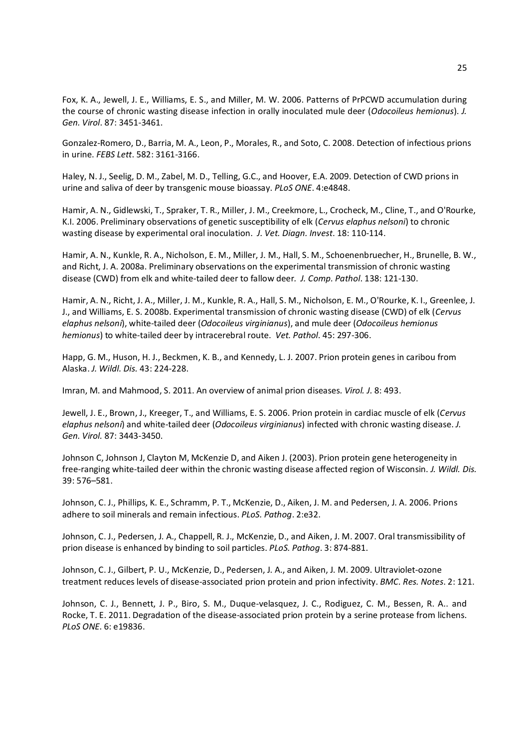Fox, K. A., Jewell, J. E., Williams, E. S., and Miller, M. W. 2006. Patterns of PrPCWD accumulation during the course of chronic wasting disease infection in orally inoculated mule deer (*Odocoileus hemionus*). *J. Gen. Virol*. 87: 3451-3461.

Gonzalez-Romero, D., Barria, M. A., Leon, P., Morales, R., and Soto, C. 2008. Detection of infectious prions in urine. *FEBS Lett*. 582: 3161-3166.

Haley, N. J., Seelig, D. M., Zabel, M. D., Telling, G.C., and Hoover, E.A. 2009. Detection of CWD prions in urine and saliva of deer by transgenic mouse bioassay. *PLoS ONE*. 4:e4848.

Hamir, A. N., Gidlewski, T., Spraker, T. R., Miller, J. M., Creekmore, L., Crocheck, M., Cline, T., and O'Rourke, K.I. 2006. Preliminary observations of genetic susceptibility of elk (*Cervus elaphus nelsoni*) to chronic wasting disease by experimental oral inoculation. *J. Vet. Diagn. Invest*. 18: 110-114.

Hamir, A. N., Kunkle, R. A., Nicholson, E. M., Miller, J. M., Hall, S. M., Schoenenbruecher, H., Brunelle, B. W., and Richt, J. A. 2008a. Preliminary observations on the experimental transmission of chronic wasting disease (CWD) from elk and white-tailed deer to fallow deer*. J. Comp. Pathol*. 138: 121-130.

Hamir, A. N., Richt, J. A., Miller, J. M., Kunkle, R. A., Hall, S. M., Nicholson, E. M., O'Rourke, K. I., Greenlee, J. J., and Williams, E. S. 2008b. Experimental transmission of chronic wasting disease (CWD) of elk (*Cervus elaphus nelsoni*), white-tailed deer (*Odocoileus virginianus*), and mule deer (*Odocoileus hemionus hemionus*) to white-tailed deer by intracerebral route. *Vet. Pathol*. 45: 297-306.

Happ, G. M., Huson, H. J., Beckmen, K. B., and Kennedy, L. J. 2007. Prion protein genes in caribou from Alaska. *J. Wildl. Dis.* 43: 224-228.

Imran, M. and Mahmood, S. 2011. An overview of animal prion diseases*. Virol. J.* 8: 493.

Jewell, J. E., Brown, J., Kreeger, T., and Williams, E. S. 2006. Prion protein in cardiac muscle of elk (*Cervus elaphus nelsoni*) and white-tailed deer (*Odocoileus virginianus*) infected with chronic wasting disease. *J. Gen. Virol.* 87: 3443-3450.

Johnson C, Johnson J, Clayton M, McKenzie D, and Aiken J. (2003). Prion protein gene heterogeneity in free-ranging white-tailed deer within the chronic wasting disease affected region of Wisconsin. *J. Wildl. Dis.* 39: 576–581.

Johnson, C. J., Phillips, K. E., Schramm, P. T., McKenzie, D., Aiken, J. M. and Pedersen, J. A. 2006. Prions adhere to soil minerals and remain infectious. *PLoS. Pathog*. 2:e32.

Johnson, C. J., Pedersen, J. A., Chappell, R. J., McKenzie, D., and Aiken, J. M. 2007. Oral transmissibility of prion disease is enhanced by binding to soil particles. *PLoS. Pathog*. 3: 874-881.

Johnson, C. J., Gilbert, P. U., McKenzie, D., Pedersen, J. A., and Aiken, J. M. 2009. Ultraviolet-ozone treatment reduces levels of disease-associated prion protein and prion infectivity. *BMC. Res. Notes*. 2: 121.

Johnson, C. J., Bennett, J. P., Biro, S. M., Duque-velasquez, J. C., Rodiguez, C. M., Bessen, R. A.. and Rocke, T. E. 2011. Degradation of the disease-associated prion protein by a serine protease from lichens. *PLoS ONE*. 6: e19836.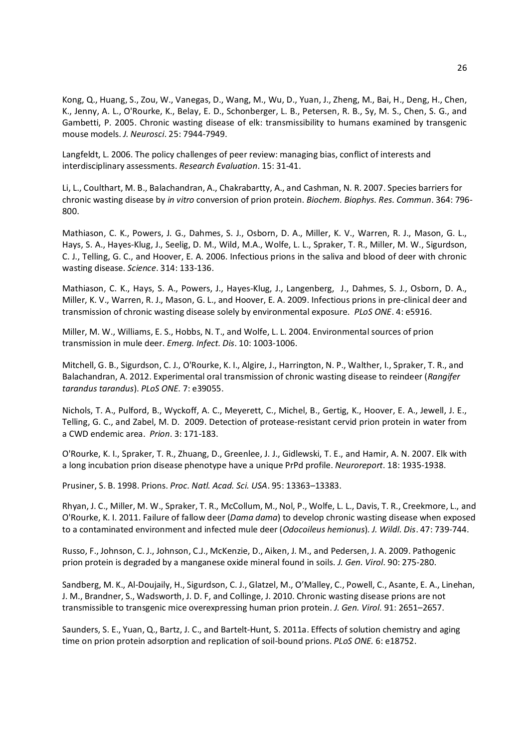Kong, Q., Huang, S., Zou, W., Vanegas, D., Wang, M., Wu, D., Yuan, J., Zheng, M., Bai, H., Deng, H., Chen, K., Jenny, A. L., O'Rourke, K., Belay, E. D., Schonberger, L. B., Petersen, R. B., Sy, M. S., Chen, S. G., and Gambetti, P. 2005. Chronic wasting disease of elk: transmissibility to humans examined by transgenic mouse models. *J. Neurosci*. 25: 7944-7949.

Langfeldt, L. 2006. The policy challenges of peer review: managing bias, conflict of interests and interdisciplinary assessments. *Research Evaluation*. 15: 31-41.

Li, L., Coulthart, M. B., Balachandran, A., Chakrabartty, A., and Cashman, N. R. 2007. Species barriers for chronic wasting disease by *in vitro* conversion of prion protein. *Biochem. Biophys. Res. Commun*. 364: 796- 800.

Mathiason, C. K., Powers, J. G., Dahmes, S. J., Osborn, D. A., Miller, K. V., Warren, R. J., Mason, G. L., Hays, S. A., Hayes-Klug, J., Seelig, D. M., Wild, M.A., Wolfe, L. L., Spraker, T. R., Miller, M. W., Sigurdson, C. J., Telling, G. C., and Hoover, E. A. 2006. Infectious prions in the saliva and blood of deer with chronic wasting disease. *Science*. 314: 133-136.

Mathiason, C. K., Hays, S. A., Powers, J., Hayes-Klug, J., Langenberg, J., Dahmes, S. J., Osborn, D. A., Miller, K. V., Warren, R. J., Mason, G. L., and Hoover, E. A. 2009. Infectious prions in pre-clinical deer and transmission of chronic wasting disease solely by environmental exposure. *PLoS ONE*. 4: e5916.

Miller, M. W., Williams, E. S., Hobbs, N. T., and Wolfe, L. L. 2004. Environmental sources of prion transmission in mule deer. *Emerg. Infect. Dis*. 10: 1003-1006.

Mitchell, G. B., Sigurdson, C. J., O'Rourke, K. I., Algire, J., Harrington, N. P., Walther, I., Spraker, T. R., and Balachandran, A. 2012. Experimental oral transmission of chronic wasting disease to reindeer (*Rangifer tarandus tarandus*). *PLoS ONE.* 7: e39055.

Nichols, T. A., Pulford, B., Wyckoff, A. C., Meyerett, C., Michel, B., Gertig, K., Hoover, E. A., Jewell, J. E., Telling, G. C., and Zabel, M. D. 2009. Detection of protease-resistant cervid prion protein in water from a CWD endemic area. *Prion*. 3: 171-183.

O'Rourke, K. I., Spraker, T. R., Zhuang, D., Greenlee, J. J., Gidlewski, T. E., and Hamir, A. N. 2007. Elk with a long incubation prion disease phenotype have a unique PrPd profile. *Neuroreport*. 18: 1935-1938.

Prusiner, S. B. 1998. Prions. *Proc. Natl. Acad. Sci. USA*. 95: 13363–13383.

Rhyan, J. C., Miller, M. W., Spraker, T. R., McCollum, M., Nol, P., Wolfe, L. L., Davis, T. R., Creekmore, L., and O'Rourke, K. I. 2011. Failure of fallow deer (*Dama dama*) to develop chronic wasting disease when exposed to a contaminated environment and infected mule deer (*Odocoileus hemionus*)*. J. Wildl. Dis*. 47: 739-744.

Russo, F., Johnson, C. J., Johnson, C.J., McKenzie, D., Aiken, J. M., and Pedersen, J. A. 2009. Pathogenic prion protein is degraded by a manganese oxide mineral found in soils. *J. Gen. Virol*. 90: 275-280.

Sandberg, M. K., Al-Doujaily, H., Sigurdson, C. J., Glatzel, M., O'Malley, C., Powell, C., Asante, E. A., Linehan, J. M., Brandner, S., Wadsworth, J. D. F, and Collinge, J. 2010. Chronic wasting disease prions are not transmissible to transgenic mice overexpressing human prion protein. *J. Gen. Virol*. 91: 2651–2657.

Saunders, S. E., Yuan, Q., Bartz, J. C., and Bartelt-Hunt, S. 2011a. Effects of solution chemistry and aging time on prion protein adsorption and replication of soil-bound prions. *PLoS ONE.* 6: e18752.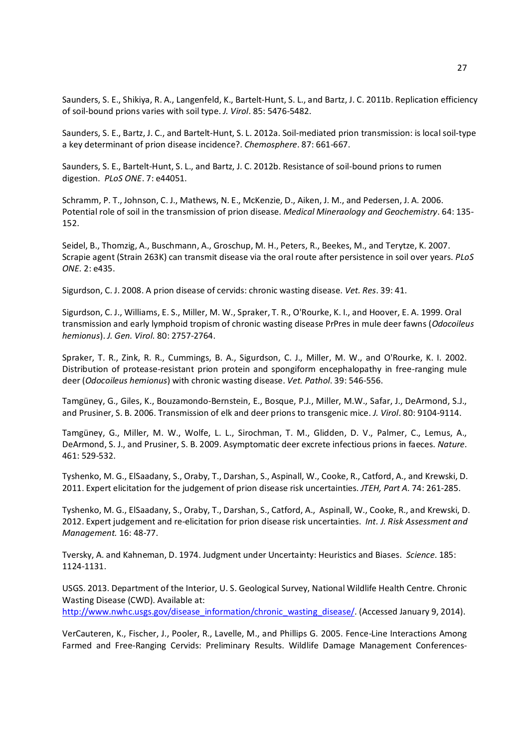Saunders, S. E., Shikiya, R. A., Langenfeld, K., Bartelt-Hunt, S. L., and Bartz, J. C. 2011b. Replication efficiency of soil-bound prions varies with soil type. *J. Virol*. 85: 5476-5482.

Saunders, S. E., Bartz, J. C., and Bartelt-Hunt, S. L. 2012a. Soil-mediated prion transmission: is local soil-type a key determinant of prion disease incidence?. *Chemosphere*. 87: 661-667.

Saunders, S. E., Bartelt-Hunt, S. L., and Bartz, J. C. 2012b. Resistance of soil-bound prions to rumen digestion. *PLoS ONE*. 7: e44051.

Schramm, P. T., Johnson, C. J., Mathews, N. E., McKenzie, D., Aiken, J. M., and Pedersen, J. A. 2006. Potential role of soil in the transmission of prion disease. *Medical Mineraology and Geochemistry*. 64: 135- 152.

Seidel, B., Thomzig, A., Buschmann, A., Groschup, M. H., Peters, R., Beekes, M., and Terytze, K. 2007. Scrapie agent (Strain 263K) can transmit disease via the oral route after persistence in soil over years. *PLoS ONE.* 2: e435.

Sigurdson, C. J. 2008. A prion disease of cervids: chronic wasting disease. *Vet. Res*. 39: 41.

Sigurdson, C. J., Williams, E. S., Miller, M. W., Spraker, T. R., O'Rourke, K. I., and Hoover, E. A. 1999. Oral transmission and early lymphoid tropism of chronic wasting disease PrPres in mule deer fawns (*Odocoileus hemionus*). *J. Gen. Virol*. 80: 2757-2764.

Spraker, T. R., Zink, R. R., Cummings, B. A., Sigurdson, C. J., Miller, M. W., and O'Rourke, K. I. 2002. Distribution of protease-resistant prion protein and spongiform encephalopathy in free-ranging mule deer (*Odocoileus hemionus*) with chronic wasting disease. *Vet. Pathol*. 39: 546-556.

Tamgüney, G., Giles, K., Bouzamondo-Bernstein, E., Bosque, P.J., Miller, M.W., Safar, J., DeArmond, S.J., and Prusiner, S. B. 2006. Transmission of elk and deer prions to transgenic mice. *J. Virol*. 80: 9104-9114.

Tamgüney, G., Miller, M. W., Wolfe, L. L., Sirochman, T. M., Glidden, D. V., Palmer, C., Lemus, A., DeArmond, S. J., and Prusiner, S. B. 2009. Asymptomatic deer excrete infectious prions in faeces. *Nature*. 461: 529-532.

Tyshenko, M. G., ElSaadany, S., Oraby, T., Darshan, S., Aspinall, W., Cooke, R., Catford, A., and Krewski, D. 2011. Expert elicitation for the judgement of prion disease risk uncertainties. *JTEH, Part A.* 74: 261-285.

Tyshenko, M. G., ElSaadany, S., Oraby, T., Darshan, S., Catford, A., Aspinall, W., Cooke, R., and Krewski, D. 2012. Expert judgement and re-elicitation for prion disease risk uncertainties. *Int. J. Risk Assessment and Management.* 16: 48-77.

Tversky, A. and Kahneman, D. 1974. Judgment under Uncertainty: Heuristics and Biases. *Science*. 185: 1124-1131.

USGS. 2013. Department of the Interior, U. S. Geological Survey, National Wildlife Health Centre. Chronic Wasting Disease (CWD). Available at: http://www.nwhc.usgs.gov/disease\_information/chronic\_wasting\_disease/. (Accessed January 9, 2014).

VerCauteren, K., Fischer, J., Pooler, R., Lavelle, M., and Phillips G. 2005. Fence-Line Interactions Among Farmed and Free-Ranging Cervids: Preliminary Results. Wildlife Damage Management Conferences-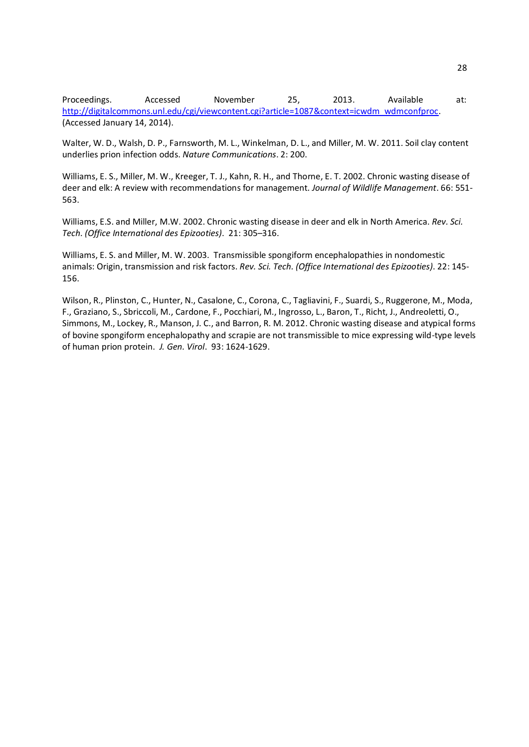Proceedings. Accessed November 25, 2013. Available at: http://digitalcommons.unl.edu/cgi/viewcontent.cgi?article=1087&context=icwdm\_wdmconfproc. (Accessed January 14, 2014).

Walter, W. D., Walsh, D. P., Farnsworth, M. L., Winkelman, D. L., and Miller, M. W. 2011. Soil clay content underlies prion infection odds. *Nature Communications*. 2: 200.

Williams, E. S., Miller, M. W., Kreeger, T. J., Kahn, R. H., and Thorne, E. T. 2002. Chronic wasting disease of deer and elk: A review with recommendations for management. *Journal of Wildlife Management*. 66: 551- 563.

Williams, E.S. and Miller, M.W. 2002. Chronic wasting disease in deer and elk in North America. *Rev. Sci. Tech. (Office International des Epizooties)*. 21: 305–316.

Williams, E. S. and Miller, M. W. 2003. Transmissible spongiform encephalopathies in nondomestic animals: Origin, transmission and risk factors. *Rev. Sci. Tech. (Office International des Epizooties)*. 22: 145- 156.

Wilson, R., Plinston, C., Hunter, N., Casalone, C., Corona, C., Tagliavini, F., Suardi, S., Ruggerone, M., Moda, F., Graziano, S., Sbriccoli, M., Cardone, F., Pocchiari, M., Ingrosso, L., Baron, T., Richt, J., Andreoletti, O., Simmons, M., Lockey, R., Manson, J. C., and Barron, R. M. 2012. Chronic wasting disease and atypical forms of bovine spongiform encephalopathy and scrapie are not transmissible to mice expressing wild-type levels of human prion protein. *J. Gen. Virol*. 93: 1624-1629.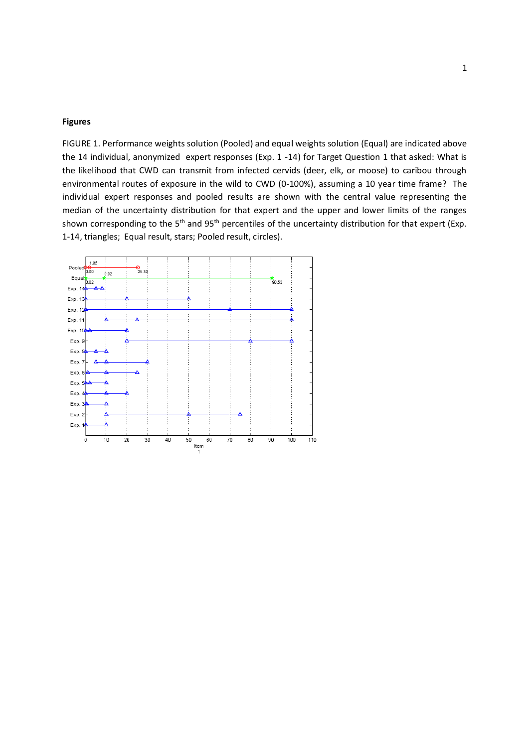# **Figures**

FIGURE 1. Performance weights solution (Pooled) and equal weights solution (Equal) are indicated above the 14 individual, anonymized expert responses (Exp. 1 -14) for Target Question 1 that asked: What is the likelihood that CWD can transmit from infected cervids (deer, elk, or moose) to caribou through environmental routes of exposure in the wild to CWD (0-100%), assuming a 10 year time frame? The individual expert responses and pooled results are shown with the central value representing the median of the uncertainty distribution for that expert and the upper and lower limits of the ranges shown corresponding to the 5<sup>th</sup> and 95<sup>th</sup> percentiles of the uncertainty distribution for that expert (Exp. 1-14, triangles; Equal result, stars; Pooled result, circles).

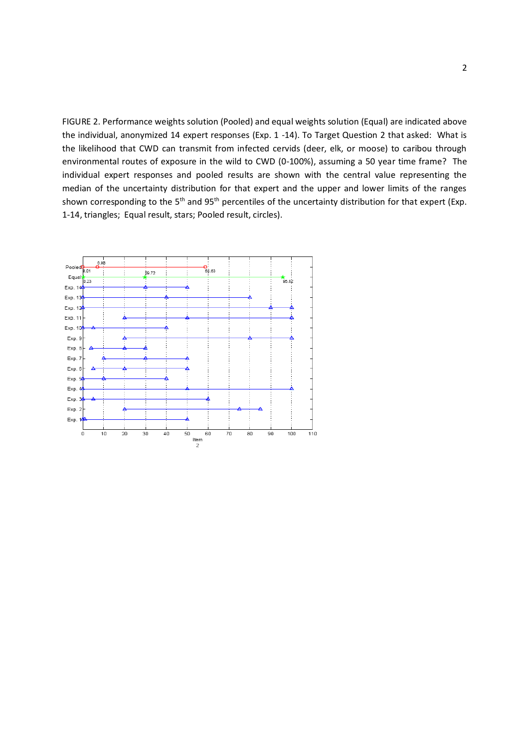FIGURE 2. Performance weights solution (Pooled) and equal weights solution (Equal) are indicated above the individual, anonymized 14 expert responses (Exp. 1 -14). To Target Question 2 that asked: What is the likelihood that CWD can transmit from infected cervids (deer, elk, or moose) to caribou through environmental routes of exposure in the wild to CWD (0-100%), assuming a 50 year time frame? The individual expert responses and pooled results are shown with the central value representing the median of the uncertainty distribution for that expert and the upper and lower limits of the ranges shown corresponding to the 5<sup>th</sup> and 95<sup>th</sup> percentiles of the uncertainty distribution for that expert (Exp. 1-14, triangles; Equal result, stars; Pooled result, circles).

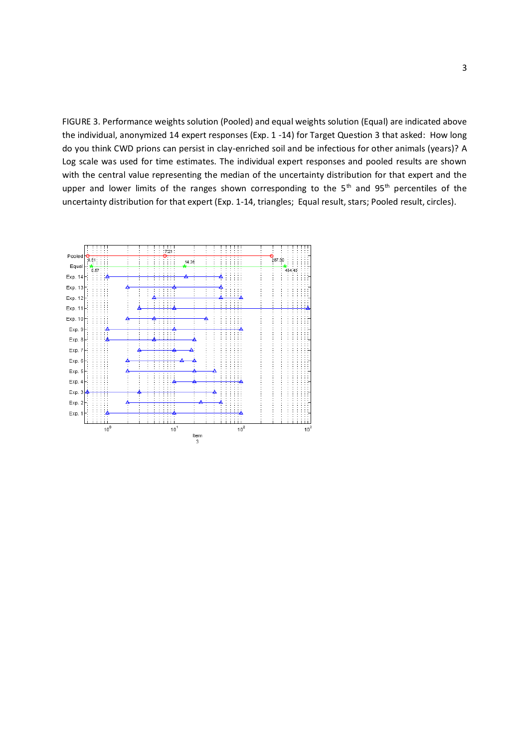FIGURE 3. Performance weights solution (Pooled) and equal weights solution (Equal) are indicated above the individual, anonymized 14 expert responses (Exp. 1 -14) for Target Question 3 that asked: How long do you think CWD prions can persist in clay-enriched soil and be infectious for other animals (years)? A Log scale was used for time estimates. The individual expert responses and pooled results are shown with the central value representing the median of the uncertainty distribution for that expert and the upper and lower limits of the ranges shown corresponding to the  $5<sup>th</sup>$  and  $95<sup>th</sup>$  percentiles of the uncertainty distribution for that expert (Exp. 1-14, triangles; Equal result, stars; Pooled result, circles).

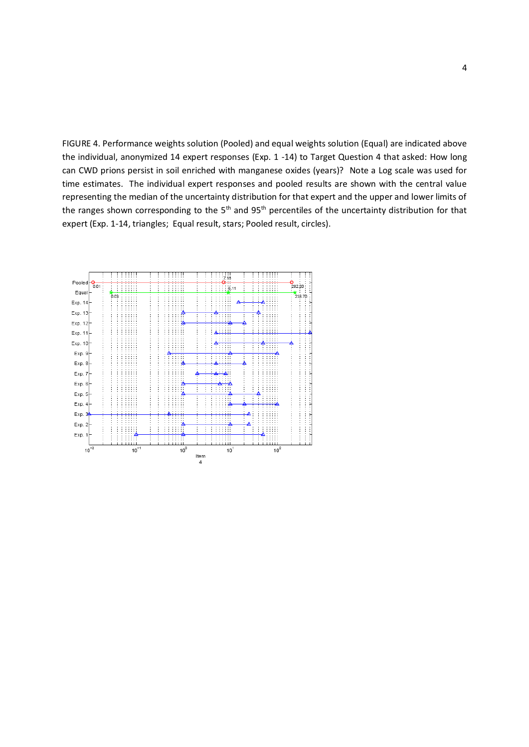FIGURE 4. Performance weights solution (Pooled) and equal weights solution (Equal) are indicated above the individual, anonymized 14 expert responses (Exp. 1 -14) to Target Question 4 that asked: How long can CWD prions persist in soil enriched with manganese oxides (years)? Note a Log scale was used for time estimates. The individual expert responses and pooled results are shown with the central value representing the median of the uncertainty distribution for that expert and the upper and lower limits of the ranges shown corresponding to the  $5<sup>th</sup>$  and  $95<sup>th</sup>$  percentiles of the uncertainty distribution for that expert (Exp. 1-14, triangles; Equal result, stars; Pooled result, circles).

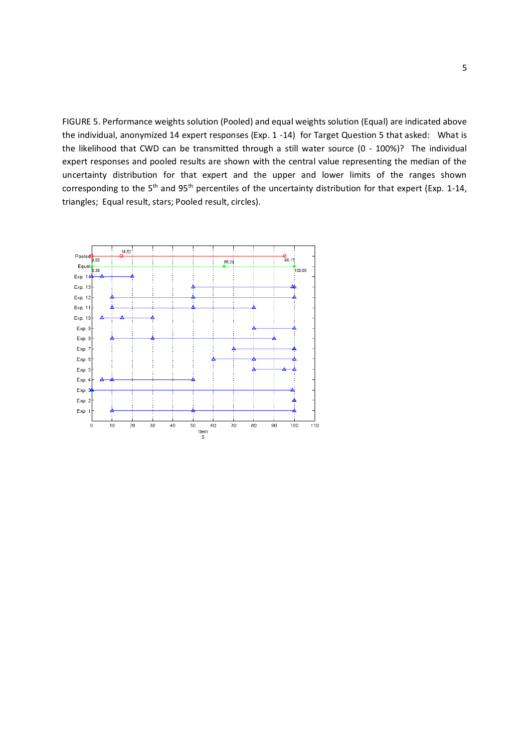FIGURE 5. Performance weights solution (Pooled) and equal weights solution (Equal) are indicated above the individual, anonymized 14 expert responses (Exp. 1 -14) for Target Question 5 that asked: What is the likelihood that CWD can be transmitted through a still water source (0 - 100%)? The individual expert responses and pooled results are shown with the central value representing the median of the uncertainty distribution for that expert and the upper and lower limits of the ranges shown corresponding to the 5<sup>th</sup> and 95<sup>th</sup> percentiles of the uncertainty distribution for that expert (Exp. 1-14, triangles; Equal result, stars; Pooled result, circles).

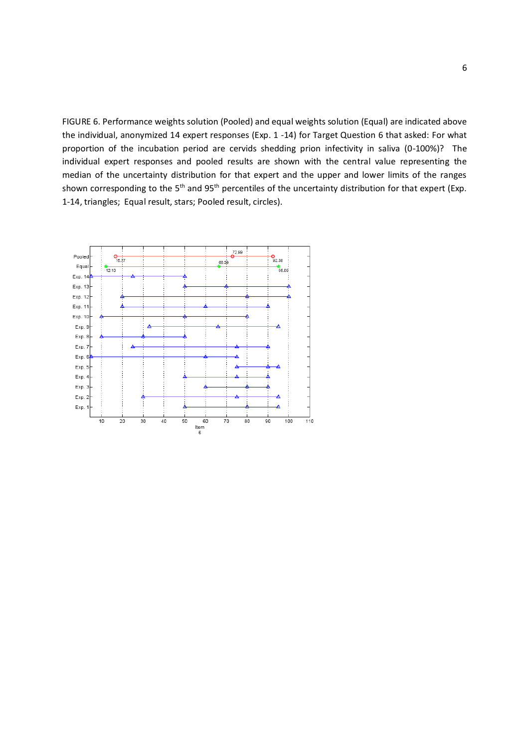FIGURE 6. Performance weights solution (Pooled) and equal weights solution (Equal) are indicated above the individual, anonymized 14 expert responses (Exp. 1 -14) for Target Question 6 that asked: For what proportion of the incubation period are cervids shedding prion infectivity in saliva (0-100%)? The individual expert responses and pooled results are shown with the central value representing the median of the uncertainty distribution for that expert and the upper and lower limits of the ranges shown corresponding to the 5<sup>th</sup> and 95<sup>th</sup> percentiles of the uncertainty distribution for that expert (Exp. 1-14, triangles; Equal result, stars; Pooled result, circles).

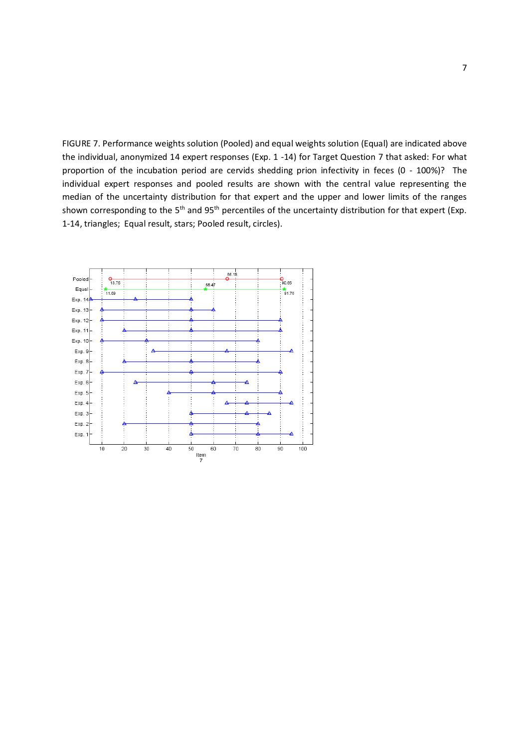FIGURE 7. Performance weights solution (Pooled) and equal weights solution (Equal) are indicated above the individual, anonymized 14 expert responses (Exp. 1 -14) for Target Question 7 that asked: For what proportion of the incubation period are cervids shedding prion infectivity in feces (0 - 100%)? The individual expert responses and pooled results are shown with the central value representing the median of the uncertainty distribution for that expert and the upper and lower limits of the ranges shown corresponding to the 5<sup>th</sup> and 95<sup>th</sup> percentiles of the uncertainty distribution for that expert (Exp. 1-14, triangles; Equal result, stars; Pooled result, circles).

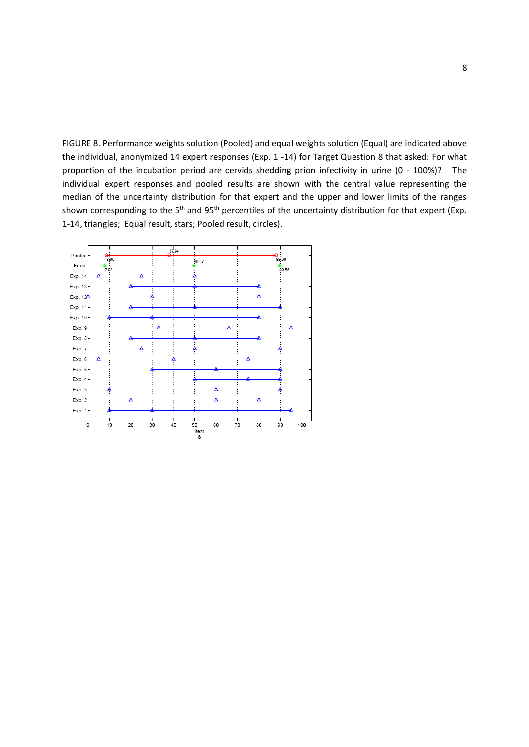FIGURE 8. Performance weights solution (Pooled) and equal weights solution (Equal) are indicated above the individual, anonymized 14 expert responses (Exp. 1 -14) for Target Question 8 that asked: For what proportion of the incubation period are cervids shedding prion infectivity in urine (0 - 100%)? The individual expert responses and pooled results are shown with the central value representing the median of the uncertainty distribution for that expert and the upper and lower limits of the ranges shown corresponding to the 5<sup>th</sup> and 95<sup>th</sup> percentiles of the uncertainty distribution for that expert (Exp. 1-14, triangles; Equal result, stars; Pooled result, circles).

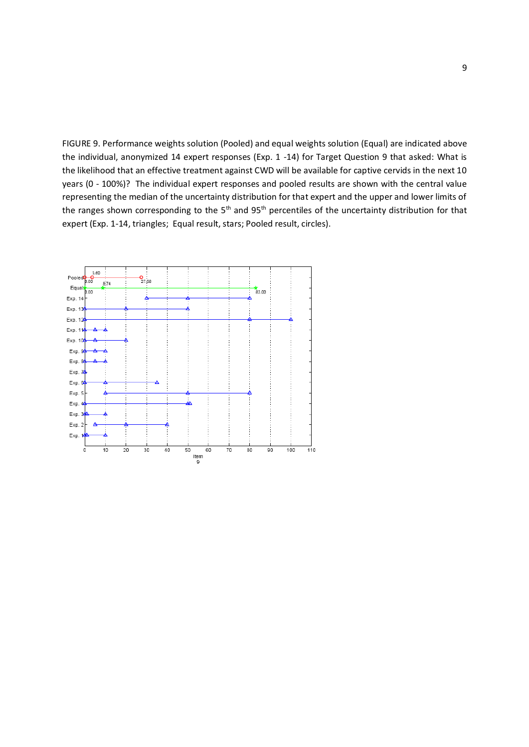FIGURE 9. Performance weights solution (Pooled) and equal weights solution (Equal) are indicated above the individual, anonymized 14 expert responses (Exp. 1 -14) for Target Question 9 that asked: What is the likelihood that an effective treatment against CWD will be available for captive cervids in the next 10 years (0 - 100%)? The individual expert responses and pooled results are shown with the central value representing the median of the uncertainty distribution for that expert and the upper and lower limits of the ranges shown corresponding to the  $5<sup>th</sup>$  and  $95<sup>th</sup>$  percentiles of the uncertainty distribution for that expert (Exp. 1-14, triangles; Equal result, stars; Pooled result, circles).

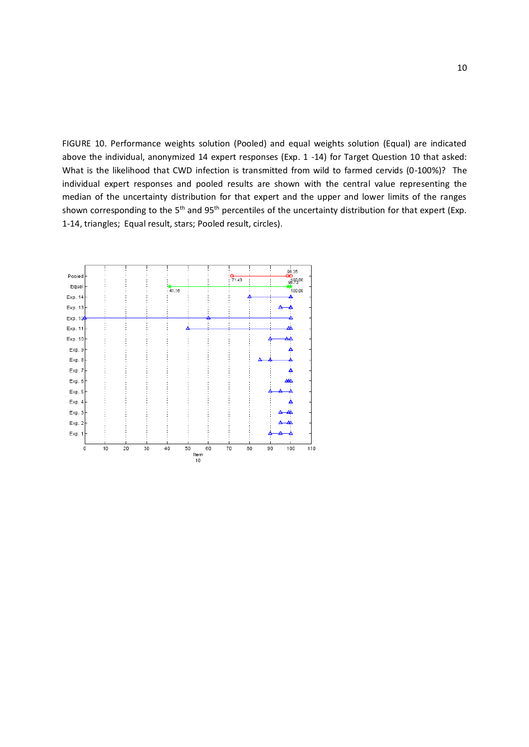FIGURE 10. Performance weights solution (Pooled) and equal weights solution (Equal) are indicated above the individual, anonymized 14 expert responses (Exp. 1 -14) for Target Question 10 that asked: What is the likelihood that CWD infection is transmitted from wild to farmed cervids (0-100%)? The individual expert responses and pooled results are shown with the central value representing the median of the uncertainty distribution for that expert and the upper and lower limits of the ranges shown corresponding to the 5<sup>th</sup> and 95<sup>th</sup> percentiles of the uncertainty distribution for that expert (Exp. 1-14, triangles; Equal result, stars; Pooled result, circles).

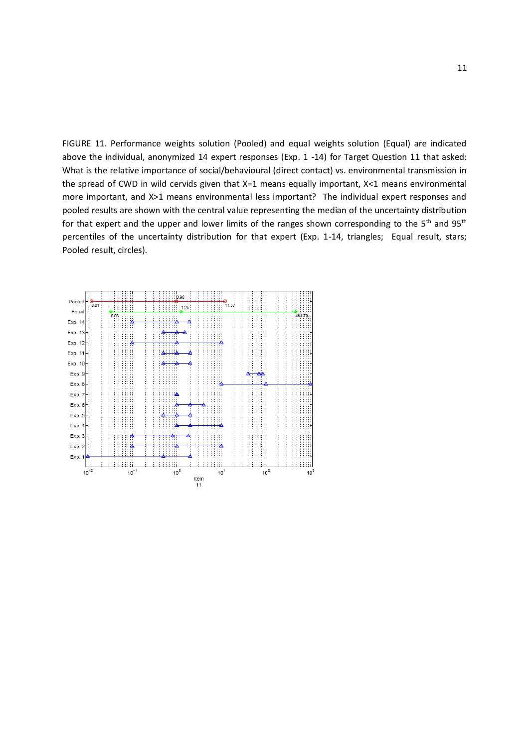FIGURE 11. Performance weights solution (Pooled) and equal weights solution (Equal) are indicated above the individual, anonymized 14 expert responses (Exp. 1 -14) for Target Question 11 that asked: What is the relative importance of social/behavioural (direct contact) vs. environmental transmission in the spread of CWD in wild cervids given that X=1 means equally important, X<1 means environmental more important, and X>1 means environmental less important? The individual expert responses and pooled results are shown with the central value representing the median of the uncertainty distribution for that expert and the upper and lower limits of the ranges shown corresponding to the 5<sup>th</sup> and 95<sup>th</sup> percentiles of the uncertainty distribution for that expert (Exp. 1-14, triangles; Equal result, stars; Pooled result, circles).

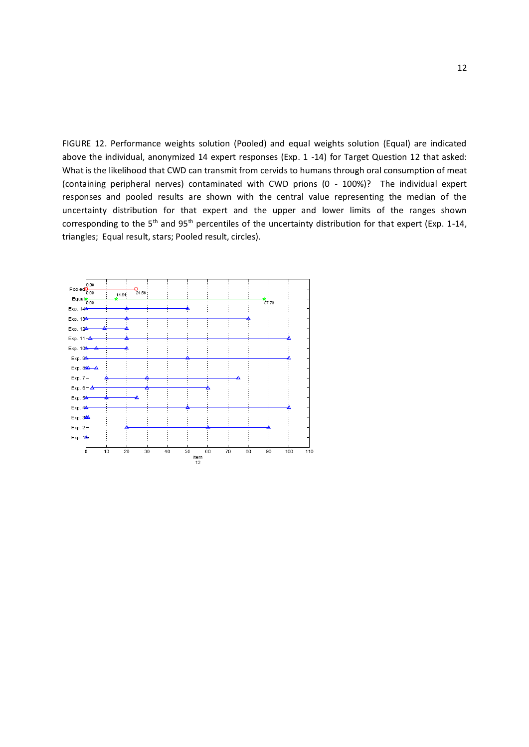FIGURE 12. Performance weights solution (Pooled) and equal weights solution (Equal) are indicated above the individual, anonymized 14 expert responses (Exp. 1 -14) for Target Question 12 that asked: What is the likelihood that CWD can transmit from cervids to humans through oral consumption of meat (containing peripheral nerves) contaminated with CWD prions (0 - 100%)? The individual expert responses and pooled results are shown with the central value representing the median of the uncertainty distribution for that expert and the upper and lower limits of the ranges shown corresponding to the 5<sup>th</sup> and 95<sup>th</sup> percentiles of the uncertainty distribution for that expert (Exp. 1-14, triangles; Equal result, stars; Pooled result, circles).

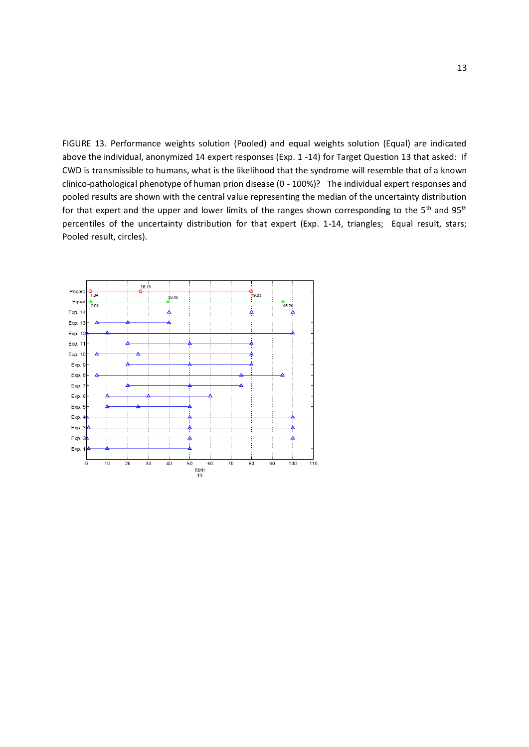FIGURE 13. Performance weights solution (Pooled) and equal weights solution (Equal) are indicated above the individual, anonymized 14 expert responses (Exp. 1 -14) for Target Question 13 that asked: If CWD is transmissible to humans, what is the likelihood that the syndrome will resemble that of a known clinico-pathological phenotype of human prion disease (0 - 100%)? The individual expert responses and pooled results are shown with the central value representing the median of the uncertainty distribution for that expert and the upper and lower limits of the ranges shown corresponding to the  $5<sup>th</sup>$  and  $95<sup>th</sup>$ percentiles of the uncertainty distribution for that expert (Exp. 1-14, triangles; Equal result, stars; Pooled result, circles).

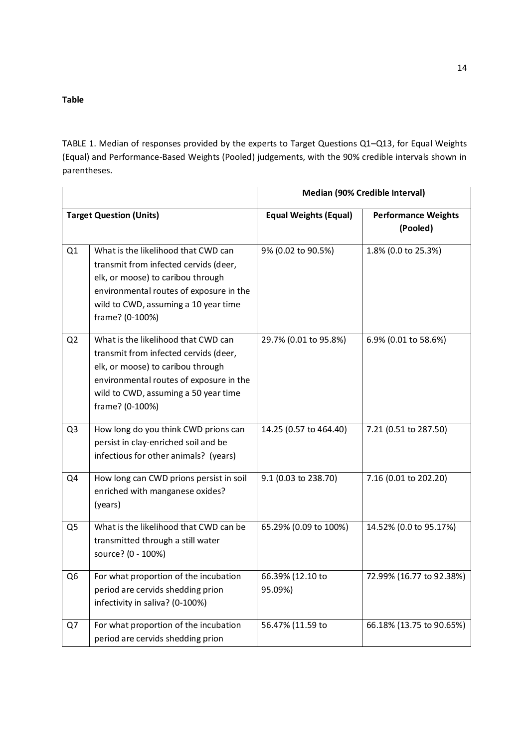# **Table**

TABLE 1. Median of responses provided by the experts to Target Questions Q1–Q13, for Equal Weights (Equal) and Performance-Based Weights (Pooled) judgements, with the 90% credible intervals shown in parentheses.

|                                |                                                                                                                                                                                                                         | Median (90% Credible Interval) |                                        |
|--------------------------------|-------------------------------------------------------------------------------------------------------------------------------------------------------------------------------------------------------------------------|--------------------------------|----------------------------------------|
| <b>Target Question (Units)</b> |                                                                                                                                                                                                                         | <b>Equal Weights (Equal)</b>   | <b>Performance Weights</b><br>(Pooled) |
| Q1                             | What is the likelihood that CWD can<br>transmit from infected cervids (deer,<br>elk, or moose) to caribou through<br>environmental routes of exposure in the<br>wild to CWD, assuming a 10 year time<br>frame? (0-100%) | 9% (0.02 to 90.5%)             | 1.8% (0.0 to 25.3%)                    |
| Q <sub>2</sub>                 | What is the likelihood that CWD can<br>transmit from infected cervids (deer,<br>elk, or moose) to caribou through<br>environmental routes of exposure in the<br>wild to CWD, assuming a 50 year time<br>frame? (0-100%) | 29.7% (0.01 to 95.8%)          | 6.9% (0.01 to 58.6%)                   |
| Q <sub>3</sub>                 | How long do you think CWD prions can<br>persist in clay-enriched soil and be<br>infectious for other animals? (years)                                                                                                   | 14.25 (0.57 to 464.40)         | 7.21 (0.51 to 287.50)                  |
| Q4                             | How long can CWD prions persist in soil<br>enriched with manganese oxides?<br>(years)                                                                                                                                   | 9.1 (0.03 to 238.70)           | 7.16 (0.01 to 202.20)                  |
| Q5                             | What is the likelihood that CWD can be<br>transmitted through a still water<br>source? (0 - 100%)                                                                                                                       | 65.29% (0.09 to 100%)          | 14.52% (0.0 to 95.17%)                 |
| Q <sub>6</sub>                 | For what proportion of the incubation<br>period are cervids shedding prion<br>infectivity in saliva? (0-100%)                                                                                                           | 66.39% (12.10 to<br>95.09%)    | 72.99% (16.77 to 92.38%)               |
| Q7                             | For what proportion of the incubation<br>period are cervids shedding prion                                                                                                                                              | 56.47% (11.59 to               | 66.18% (13.75 to 90.65%)               |